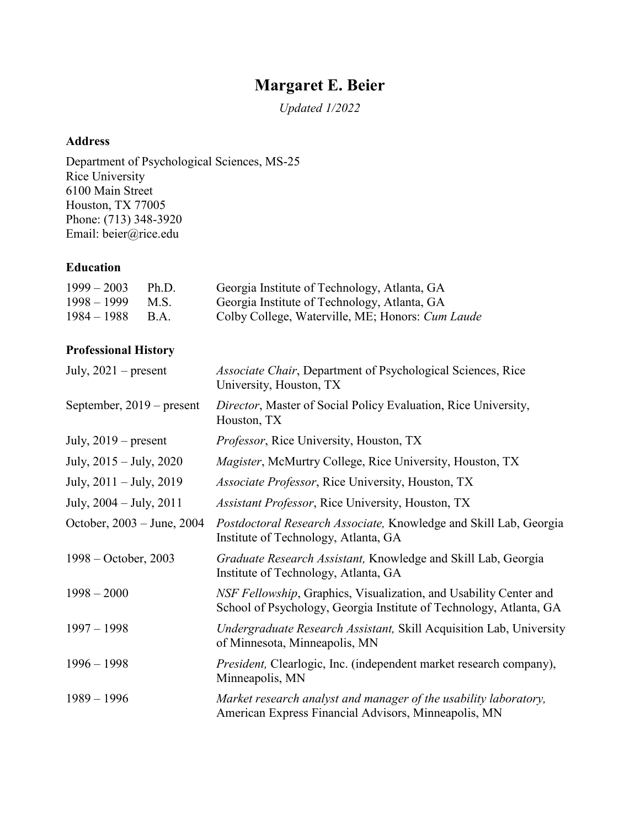# **Margaret E. Beier**

*Updated 1/2022*

#### **Address**

Department of Psychological Sciences, MS-25 Rice University 6100 Main Street Houston, TX 77005 Phone: (713) 348-3920 Email: beier@rice.edu

### **Education**

| $1999 - 2003$ | Ph.D.       | Georgia Institute of Technology, Atlanta, GA     |
|---------------|-------------|--------------------------------------------------|
| $1998 - 1999$ | M.S.        | Georgia Institute of Technology, Atlanta, GA     |
| $1984 - 1988$ | <b>B.A.</b> | Colby College, Waterville, ME; Honors: Cum Laude |

## **Professional History**

| July, $2021$ – present      | Associate Chair, Department of Psychological Sciences, Rice<br>University, Houston, TX                                                  |
|-----------------------------|-----------------------------------------------------------------------------------------------------------------------------------------|
| September, $2019$ – present | Director, Master of Social Policy Evaluation, Rice University,<br>Houston, TX                                                           |
| July, $2019$ – present      | <i>Professor</i> , Rice University, Houston, TX                                                                                         |
| July, $2015 -$ July, $2020$ | Magister, McMurtry College, Rice University, Houston, TX                                                                                |
| July, $2011 -$ July, $2019$ | Associate Professor, Rice University, Houston, TX                                                                                       |
| July, 2004 – July, 2011     | Assistant Professor, Rice University, Houston, TX                                                                                       |
| October, 2003 – June, 2004  | Postdoctoral Research Associate, Knowledge and Skill Lab, Georgia<br>Institute of Technology, Atlanta, GA                               |
| $1998 - October, 2003$      | Graduate Research Assistant, Knowledge and Skill Lab, Georgia<br>Institute of Technology, Atlanta, GA                                   |
| $1998 - 2000$               | NSF Fellowship, Graphics, Visualization, and Usability Center and<br>School of Psychology, Georgia Institute of Technology, Atlanta, GA |
| $1997 - 1998$               | Undergraduate Research Assistant, Skill Acquisition Lab, University<br>of Minnesota, Minneapolis, MN                                    |
| $1996 - 1998$               | President, Clearlogic, Inc. (independent market research company),<br>Minneapolis, MN                                                   |
| $1989 - 1996$               | Market research analyst and manager of the usability laboratory,<br>American Express Financial Advisors, Minneapolis, MN                |
|                             |                                                                                                                                         |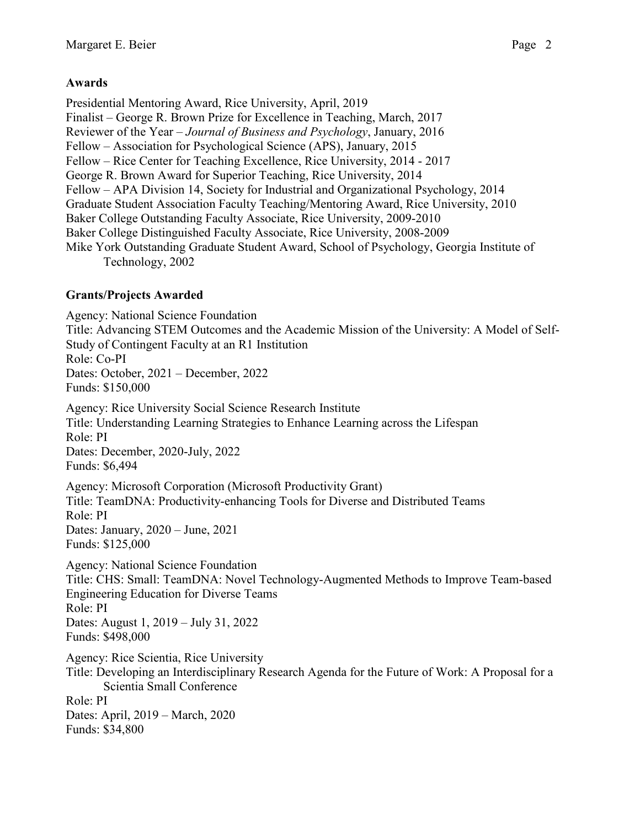# **Awards**

Presidential Mentoring Award, Rice University, April, 2019 Finalist – George R. Brown Prize for Excellence in Teaching, March, 2017 Reviewer of the Year – *Journal of Business and Psychology*, January, 2016 Fellow – Association for Psychological Science (APS), January, 2015 Fellow – Rice Center for Teaching Excellence, Rice University, 2014 - 2017 George R. Brown Award for Superior Teaching, Rice University, 2014 Fellow – APA Division 14, Society for Industrial and Organizational Psychology, 2014 Graduate Student Association Faculty Teaching/Mentoring Award, Rice University, 2010 Baker College Outstanding Faculty Associate, Rice University, 2009-2010 Baker College Distinguished Faculty Associate, Rice University, 2008-2009 Mike York Outstanding Graduate Student Award, School of Psychology, Georgia Institute of Technology, 2002

# **Grants/Projects Awarded**

Agency: National Science Foundation Title: Advancing STEM Outcomes and the Academic Mission of the University: A Model of Self-Study of Contingent Faculty at an R1 Institution Role: Co-PI Dates: October, 2021 – December, 2022 Funds: \$150,000 Agency: Rice University Social Science Research Institute Title: Understanding Learning Strategies to Enhance Learning across the Lifespan Role: PI Dates: December, 2020-July, 2022 Funds: \$6,494 Agency: Microsoft Corporation (Microsoft Productivity Grant) Title: TeamDNA: Productivity-enhancing Tools for Diverse and Distributed Teams Role: PI Dates: January, 2020 – June, 2021 Funds: \$125,000 Agency: National Science Foundation Title: CHS: Small: TeamDNA: Novel Technology-Augmented Methods to Improve Team-based Engineering Education for Diverse Teams Role: PI Dates: August 1, 2019 – July 31, 2022 Funds: \$498,000 Agency: Rice Scientia, Rice University Title: Developing an Interdisciplinary Research Agenda for the Future of Work: A Proposal for a Scientia Small Conference Role: PI Dates: April, 2019 – March, 2020 Funds: \$34,800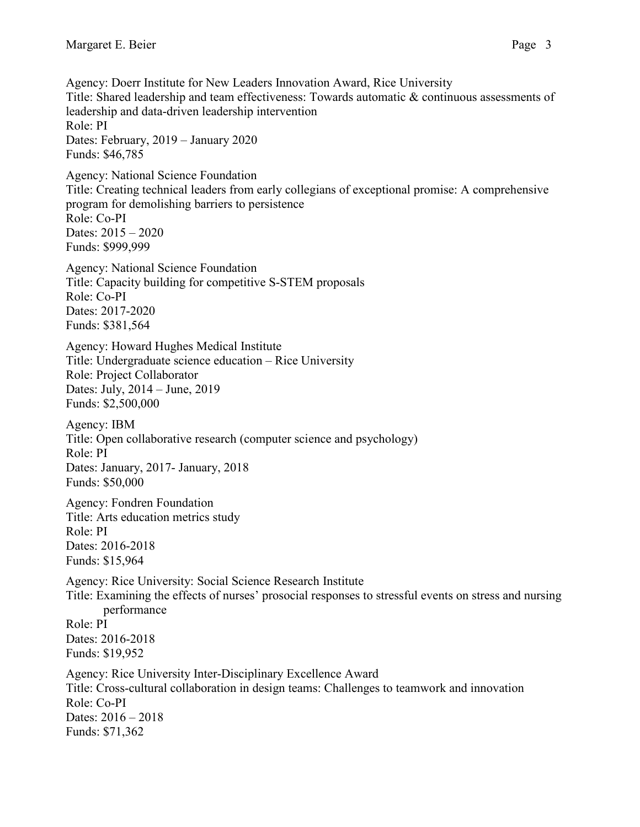Agency: Doerr Institute for New Leaders Innovation Award, Rice University Title: Shared leadership and team effectiveness: Towards automatic & continuous assessments of leadership and data-driven leadership intervention Role: PI Dates: February, 2019 – January 2020 Funds: \$46,785 Agency: National Science Foundation Title: Creating technical leaders from early collegians of exceptional promise: A comprehensive program for demolishing barriers to persistence Role: Co-PI Dates: 2015 – 2020 Funds: \$999,999 Agency: National Science Foundation Title: Capacity building for competitive S-STEM proposals Role: Co-PI Dates: 2017-2020 Funds: \$381,564 Agency: Howard Hughes Medical Institute Title: Undergraduate science education – Rice University Role: Project Collaborator Dates: July, 2014 – June, 2019 Funds: \$2,500,000 Agency: IBM Title: Open collaborative research (computer science and psychology) Role: PI Dates: January, 2017- January, 2018 Funds: \$50,000 Agency: Fondren Foundation Title: Arts education metrics study Role: PI Dates: 2016-2018 Funds: \$15,964 Agency: Rice University: Social Science Research Institute Title: Examining the effects of nurses' prosocial responses to stressful events on stress and nursing performance Role: PI Dates: 2016-2018 Funds: \$19,952 Agency: Rice University Inter-Disciplinary Excellence Award Title: Cross-cultural collaboration in design teams: Challenges to teamwork and innovation Role: Co-PI Dates: 2016 – 2018 Funds: \$71,362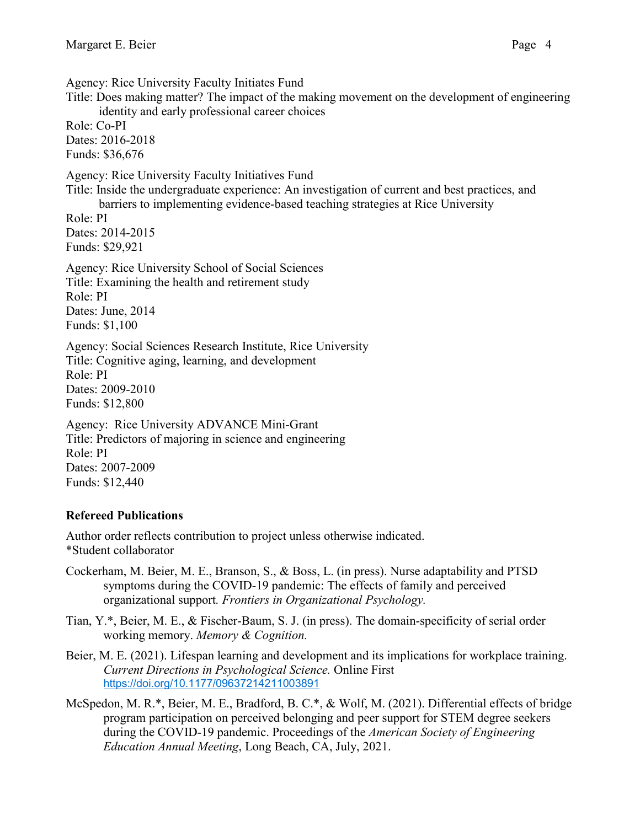Role: Co-PI Dates: 2016-2018 Funds: \$36,676

Agency: Rice University Faculty Initiates Fund Title: Does making matter? The impact of the making movement on the development of engineering identity and early professional career choices

Agency: Rice University Faculty Initiatives Fund

Title: Inside the undergraduate experience: An investigation of current and best practices, and barriers to implementing evidence-based teaching strategies at Rice University

Role: PI Dates: 2014-2015 Funds: \$29,921

Agency: Rice University School of Social Sciences Title: Examining the health and retirement study Role: PI Dates: June, 2014 Funds: \$1,100

Agency: Social Sciences Research Institute, Rice University Title: Cognitive aging, learning, and development Role: PI Dates: 2009-2010 Funds: \$12,800

Agency: Rice University ADVANCE Mini-Grant Title: Predictors of majoring in science and engineering Role: PI Dates: 2007-2009 Funds: \$12,440

# **Refereed Publications**

Author order reflects contribution to project unless otherwise indicated. \*Student collaborator

- Cockerham, M. Beier, M. E., Branson, S., & Boss, L. (in press). Nurse adaptability and PTSD symptoms during the COVID-19 pandemic: The effects of family and perceived organizational support*. Frontiers in Organizational Psychology.*
- Tian, Y.\*, Beier, M. E., & Fischer-Baum, S. J. (in press). The domain-specificity of serial order working memory. *Memory & Cognition.*
- Beier, M. E. (2021). Lifespan learning and development and its implications for workplace training. *Current Directions in Psychological Science.* Online First [https://doi.org/10.1177/09637214211003891](https://doi.org/10.1177%2F09637214211003891)
- McSpedon, M. R.\*, Beier, M. E., Bradford, B. C.\*, & Wolf, M. (2021). Differential effects of bridge program participation on perceived belonging and peer support for STEM degree seekers during the COVID-19 pandemic. Proceedings of the *American Society of Engineering Education Annual Meeting*, Long Beach, CA, July, 2021.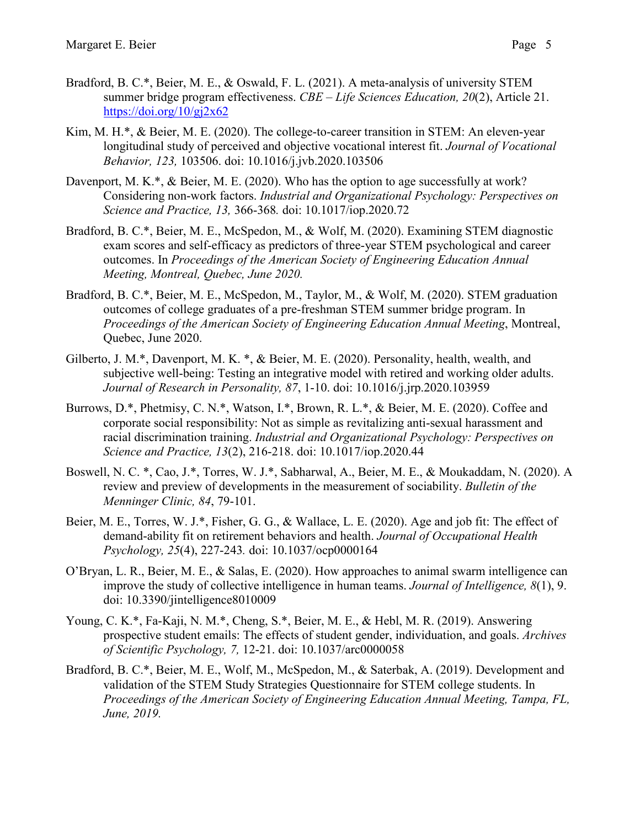- Bradford, B. C.\*, Beier, M. E., & Oswald, F. L. (2021). A meta-analysis of university STEM summer bridge program effectiveness. *CBE – Life Sciences Education, 20*(2), Article 21. https://doi.org/ $10$ /gj2x62
- Kim, M. H.\*, & Beier, M. E. (2020). The college-to-career transition in STEM: An eleven-year longitudinal study of perceived and objective vocational interest fit. *Journal of Vocational Behavior, 123,* 103506. doi: 10.1016/j.jvb.2020.103506
- Davenport, M. K.\*, & Beier, M. E. (2020). Who has the option to age successfully at work? Considering non-work factors. *Industrial and Organizational Psychology: Perspectives on Science and Practice, 13,* 366-368*.* doi: 10.1017/iop.2020.72
- Bradford, B. C.\*, Beier, M. E., McSpedon, M., & Wolf, M. (2020). Examining STEM diagnostic exam scores and self-efficacy as predictors of three-year STEM psychological and career outcomes. In *Proceedings of the American Society of Engineering Education Annual Meeting, Montreal, Quebec, June 2020.*
- Bradford, B. C.\*, Beier, M. E., McSpedon, M., Taylor, M., & Wolf, M. (2020). STEM graduation outcomes of college graduates of a pre-freshman STEM summer bridge program. In *Proceedings of the American Society of Engineering Education Annual Meeting*, Montreal, Quebec, June 2020.
- Gilberto, J. M.\*, Davenport, M. K. \*, & Beier, M. E. (2020). Personality, health, wealth, and subjective well-being: Testing an integrative model with retired and working older adults. *Journal of Research in Personality, 87*, 1-10. doi: 10.1016/j.jrp.2020.103959
- Burrows, D.\*, Phetmisy, C. N.\*, Watson, I.\*, Brown, R. L.\*, & Beier, M. E. (2020). Coffee and corporate social responsibility: Not as simple as revitalizing anti-sexual harassment and racial discrimination training. *Industrial and Organizational Psychology: Perspectives on Science and Practice, 13*(2), 216-218. doi: 10.1017/iop.2020.44
- Boswell, N. C. \*, Cao, J.\*, Torres, W. J.\*, Sabharwal, A., Beier, M. E., & Moukaddam, N. (2020). A review and preview of developments in the measurement of sociability. *Bulletin of the Menninger Clinic, 84*, 79-101.
- Beier, M. E., Torres, W. J.\*, Fisher, G. G., & Wallace, L. E. (2020). Age and job fit: The effect of demand-ability fit on retirement behaviors and health. *Journal of Occupational Health Psychology, 25*(4), 227-243*.* doi: 10.1037/ocp0000164
- O'Bryan, L. R., Beier, M. E., & Salas, E. (2020). How approaches to animal swarm intelligence can improve the study of collective intelligence in human teams. *Journal of Intelligence, 8*(1), 9. doi: 10.3390/jintelligence8010009
- Young, C. K.\*, Fa-Kaji, N. M.\*, Cheng, S.\*, Beier, M. E., & Hebl, M. R. (2019). Answering prospective student emails: The effects of student gender, individuation, and goals. *Archives of Scientific Psychology, 7,* 12-21. doi: 10.1037/arc0000058
- Bradford, B. C.\*, Beier, M. E., Wolf, M., McSpedon, M., & Saterbak, A. (2019). Development and validation of the STEM Study Strategies Questionnaire for STEM college students. In *Proceedings of the American Society of Engineering Education Annual Meeting, Tampa, FL, June, 2019.*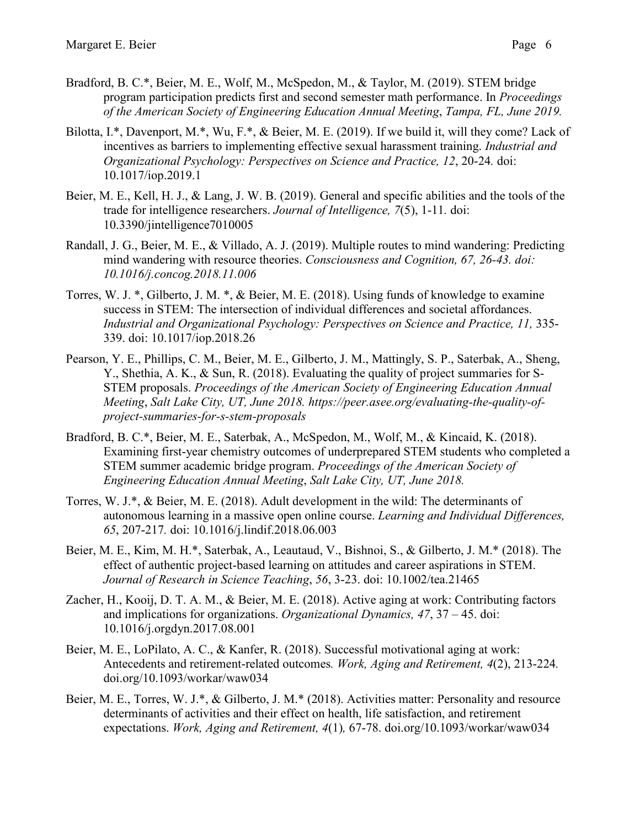- Bradford, B. C.\*, Beier, M. E., Wolf, M., McSpedon, M., & Taylor, M. (2019). STEM bridge program participation predicts first and second semester math performance. In *Proceedings of the American Society of Engineering Education Annual Meeting*, *Tampa, FL, June 2019.*
- Bilotta, I.\*, Davenport, M.\*, Wu, F.\*, & Beier, M. E. (2019). If we build it, will they come? Lack of incentives as barriers to implementing effective sexual harassment training. *Industrial and Organizational Psychology: Perspectives on Science and Practice, 12*, 20-24*.* doi: 10.1017/iop.2019.1
- Beier, M. E., Kell, H. J., & Lang, J. W. B. (2019). General and specific abilities and the tools of the trade for intelligence researchers. *Journal of Intelligence, 7*(5), 1-11*.* doi: 10.3390/jintelligence7010005
- Randall, J. G., Beier, M. E., & Villado, A. J. (2019). Multiple routes to mind wandering: Predicting mind wandering with resource theories. *Consciousness and Cognition, 67, 26-43. doi: 10.1016/j.concog.2018.11.006*
- Torres, W. J. \*, Gilberto, J. M. \*, & Beier, M. E. (2018). Using funds of knowledge to examine success in STEM: The intersection of individual differences and societal affordances. *Industrial and Organizational Psychology: Perspectives on Science and Practice, 11,* 335- 339. doi: 10.1017/iop.2018.26
- Pearson, Y. E., Phillips, C. M., Beier, M. E., Gilberto, J. M., Mattingly, S. P., Saterbak, A., Sheng, Y., Shethia, A. K., & Sun, R. (2018). Evaluating the quality of project summaries for S-STEM proposals. *Proceedings of the American Society of Engineering Education Annual Meeting*, *Salt Lake City, UT, June 2018. https://peer.asee.org/evaluating-the-quality-ofproject-summaries-for-s-stem-proposals*
- Bradford, B. C.\*, Beier, M. E., Saterbak, A., McSpedon, M., Wolf, M., & Kincaid, K. (2018). Examining first-year chemistry outcomes of underprepared STEM students who completed a STEM summer academic bridge program. *Proceedings of the American Society of Engineering Education Annual Meeting*, *Salt Lake City, UT, June 2018.*
- Torres, W. J.\*, & Beier, M. E. (2018). Adult development in the wild: The determinants of autonomous learning in a massive open online course. *Learning and Individual Differences, 65*, 207-217*.* doi: 10.1016/j.lindif.2018.06.003
- Beier, M. E., Kim, M. H.\*, Saterbak, A., Leautaud, V., Bishnoi, S., & Gilberto, J. M.\* (2018). The effect of authentic project-based learning on attitudes and career aspirations in STEM. *Journal of Research in Science Teaching*, *56*, 3-23. doi: 10.1002/tea.21465
- Zacher, H., Kooij, D. T. A. M., & Beier, M. E. (2018). Active aging at work: Contributing factors and implications for organizations. *Organizational Dynamics, 47*, 37 – 45. doi: 10.1016/j.orgdyn.2017.08.001
- Beier, M. E., LoPilato, A. C., & Kanfer, R. (2018). Successful motivational aging at work: Antecedents and retirement-related outcomes*. Work, Aging and Retirement, 4*(2), 213-224*.* doi.org/10.1093/workar/waw034
- Beier, M. E., Torres, W. J.\*, & Gilberto, J. M.\* (2018). Activities matter: Personality and resource determinants of activities and their effect on health, life satisfaction, and retirement expectations. *Work, Aging and Retirement, 4*(1)*,* 67-78. doi.org/10.1093/workar/waw034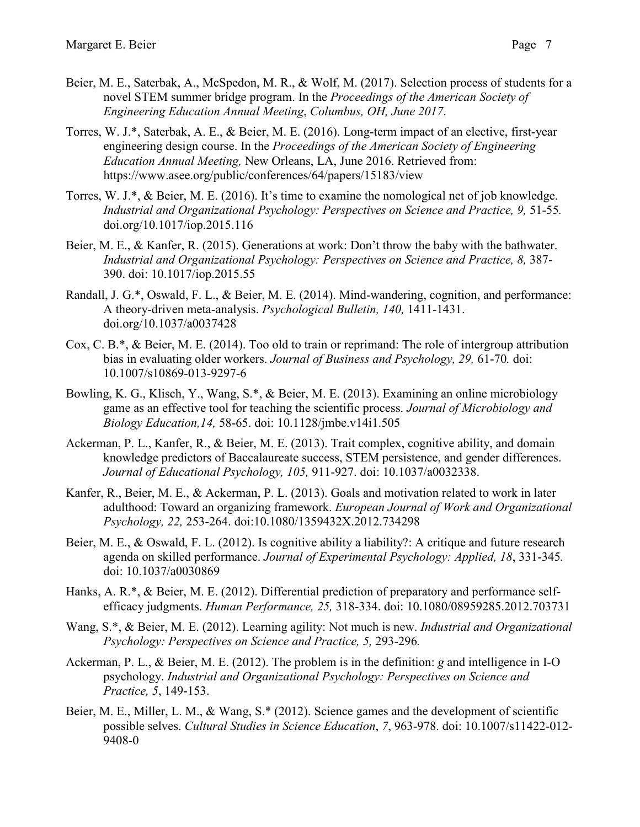- Beier, M. E., Saterbak, A., McSpedon, M. R., & Wolf, M. (2017). Selection process of students for a novel STEM summer bridge program. In the *Proceedings of the American Society of Engineering Education Annual Meeting*, *Columbus, OH, June 2017*.
- Torres, W. J.\*, Saterbak, A. E., & Beier, M. E. (2016). Long-term impact of an elective, first-year engineering design course. In the *Proceedings of the American Society of Engineering Education Annual Meeting,* New Orleans, LA, June 2016. Retrieved from: <https://www.asee.org/public/conferences/64/papers/15183/view>
- Torres, W. J.\*, & Beier, M. E. (2016). It's time to examine the nomological net of job knowledge. *Industrial and Organizational Psychology: Perspectives on Science and Practice, 9,* 51-55*.* doi.org/10.1017/iop.2015.116
- Beier, M. E., & Kanfer, R. (2015). Generations at work: Don't throw the baby with the bathwater. *Industrial and Organizational Psychology: Perspectives on Science and Practice, 8,* 387- 390. doi: 10.1017/iop.2015.55
- Randall, J. G.\*, Oswald, F. L., & Beier, M. E. (2014). Mind-wandering, cognition, and performance: A theory-driven meta-analysis. *Psychological Bulletin, 140,* 1411-1431. doi.org/10.1037/a0037428
- Cox, C. B.\*, & Beier, M. E. (2014). Too old to train or reprimand: The role of intergroup attribution bias in evaluating older workers. *Journal of Business and Psychology, 29,* 61-70*.* doi: 10.1007/s10869-013-9297-6
- Bowling, K. G., Klisch, Y., Wang, S.\*, & Beier, M. E. (2013). Examining an online microbiology game as an effective tool for teaching the scientific process. *Journal of Microbiology and Biology Education,14,* 58-65. doi: 10.1128/jmbe.v14i1.505
- Ackerman, P. L., Kanfer, R., & Beier, M. E. (2013). Trait complex, cognitive ability, and domain knowledge predictors of Baccalaureate success, STEM persistence, and gender differences. *Journal of Educational Psychology, 105,* 911-927. doi: 10.1037/a0032338.
- Kanfer, R., Beier, M. E., & Ackerman, P. L. (2013). Goals and motivation related to work in later adulthood: Toward an organizing framework. *European Journal of Work and Organizational Psychology, 22,* 253-264. doi:10.1080/1359432X.2012.734298
- Beier, M. E., & Oswald, F. L. (2012). Is cognitive ability a liability?: A critique and future research agenda on skilled performance. *Journal of Experimental Psychology: Applied, 18*, 331-345*.* doi: 10.1037/a0030869
- Hanks, A. R.\*, & Beier, M. E. (2012). Differential prediction of preparatory and performance selfefficacy judgments. *Human Performance, 25,* 318-334. doi: 10.1080/08959285.2012.703731
- Wang, S.\*, & Beier, M. E. (2012). Learning agility: Not much is new. *Industrial and Organizational Psychology: Perspectives on Science and Practice, 5, 293-296.*
- Ackerman, P. L., & Beier, M. E. (2012). The problem is in the definition: *g* and intelligence in I-O psychology. *Industrial and Organizational Psychology: Perspectives on Science and Practice, 5*, 149-153.
- Beier, M. E., Miller, L. M., & Wang, S.\* (2012). Science games and the development of scientific possible selves. *Cultural Studies in Science Education*, *7*, 963-978. doi: 10.1007/s11422-012- 9408-0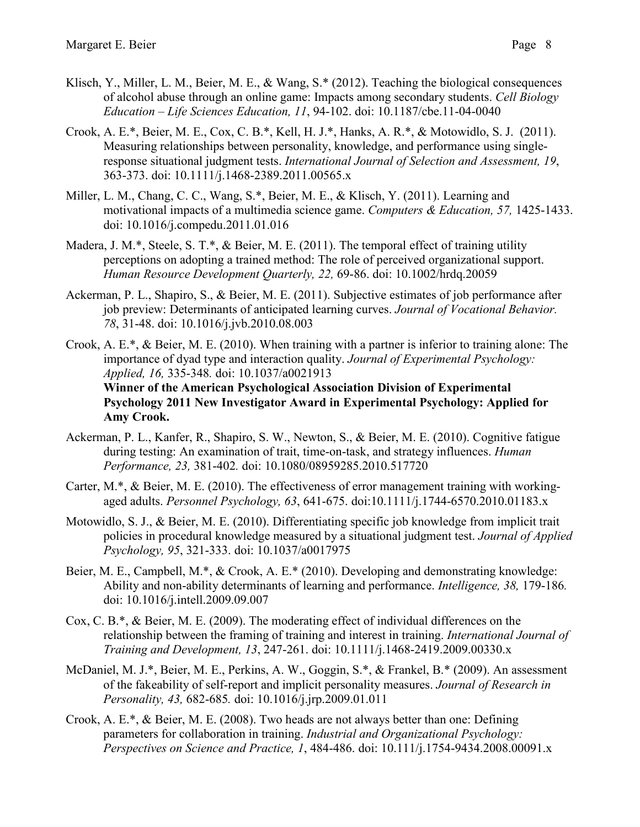- Klisch, Y., Miller, L. M., Beier, M. E., & Wang, S.\* (2012). Teaching the biological consequences of alcohol abuse through an online game: Impacts among secondary students. *Cell Biology Education – Life Sciences Education, 11*, 94-102. doi: 10.1187/cbe.11-04-0040
- Crook, A. E.\*, Beier, M. E., Cox, C. B.\*, Kell, H. J.\*, Hanks, A. R.\*, & Motowidlo, S. J. (2011). Measuring relationships between personality, knowledge, and performance using singleresponse situational judgment tests. *International Journal of Selection and Assessment, 19*, 363-373. doi: 10.1111/j.1468-2389.2011.00565.x
- Miller, L. M., Chang, C. C., Wang, S.\*, Beier, M. E., & Klisch, Y. (2011). Learning and motivational impacts of a multimedia science game. *Computers & Education, 57,* 1425-1433. doi: 10.1016/j.compedu.2011.01.016
- Madera, J. M.\*, Steele, S. T.\*, & Beier, M. E. (2011). The temporal effect of training utility perceptions on adopting a trained method: The role of perceived organizational support. *Human Resource Development Quarterly, 22,* 69-86. doi: 10.1002/hrdq.20059
- Ackerman, P. L., Shapiro, S., & Beier, M. E. (2011). Subjective estimates of job performance after job preview: Determinants of anticipated learning curves. *Journal of Vocational Behavior. 78*, 31-48. doi: 10.1016/j.jvb.2010.08.003
- Crook, A. E.\*, & Beier, M. E. (2010). When training with a partner is inferior to training alone: The importance of dyad type and interaction quality. *Journal of Experimental Psychology: Applied, 16,* 335-348*.* doi: 10.1037/a0021913 **Winner of the American Psychological Association Division of Experimental Psychology 2011 New Investigator Award in Experimental Psychology: Applied for Amy Crook.**
- Ackerman, P. L., Kanfer, R., Shapiro, S. W., Newton, S., & Beier, M. E. (2010). Cognitive fatigue during testing: An examination of trait, time-on-task, and strategy influences. *Human Performance, 23,* 381-402*.* doi: 10.1080/08959285.2010.517720
- Carter, M.\*, & Beier, M. E. (2010). The effectiveness of error management training with workingaged adults. *Personnel Psychology, 63*, 641-675. doi:10.1111/j.1744-6570.2010.01183.x
- Motowidlo, S. J., & Beier, M. E. (2010). Differentiating specific job knowledge from implicit trait policies in procedural knowledge measured by a situational judgment test. *Journal of Applied Psychology, 95*, 321-333. doi: 10.1037/a0017975
- Beier, M. E., Campbell, M.\*, & Crook, A. E.\* (2010). Developing and demonstrating knowledge: Ability and non-ability determinants of learning and performance. *Intelligence, 38,* 179-186*.* doi: 10.1016/j.intell.2009.09.007
- Cox, C. B.\*, & Beier, M. E. (2009). The moderating effect of individual differences on the relationship between the framing of training and interest in training. *International Journal of Training and Development, 13*, 247-261. doi: 10.1111/j.1468-2419.2009.00330.x
- McDaniel, M. J.\*, Beier, M. E., Perkins, A. W., Goggin, S.\*, & Frankel, B.\* (2009). An assessment of the fakeability of self-report and implicit personality measures. *Journal of Research in Personality, 43,* 682-685*.* doi: 10.1016/j.jrp.2009.01.011
- Crook, A. E.\*, & Beier, M. E. (2008). Two heads are not always better than one: Defining parameters for collaboration in training. *Industrial and Organizational Psychology: Perspectives on Science and Practice, 1*, 484-486. doi: 10.111/j.1754-9434.2008.00091.x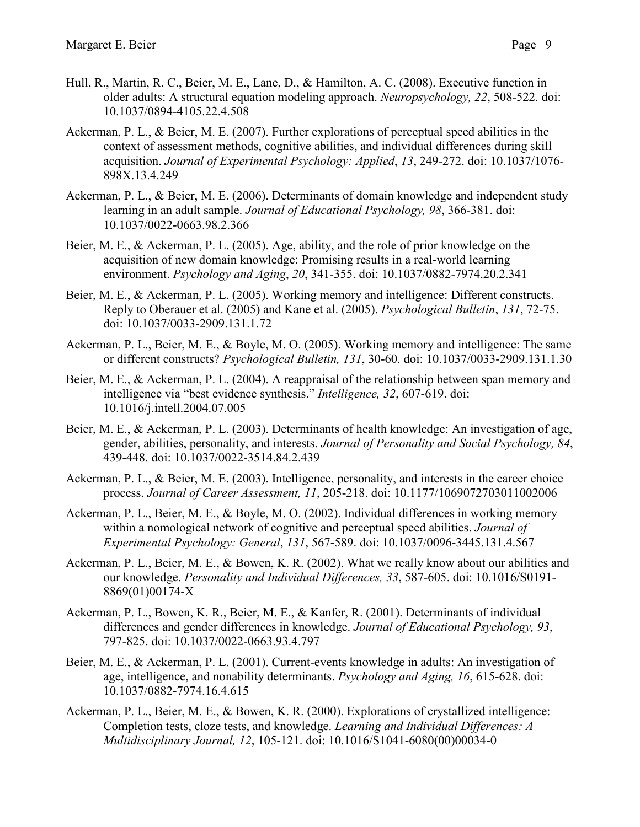- Hull, R., Martin, R. C., Beier, M. E., Lane, D., & Hamilton, A. C. (2008). Executive function in older adults: A structural equation modeling approach. *Neuropsychology, 22*, 508-522. doi: 10.1037/0894-4105.22.4.508
- Ackerman, P. L., & Beier, M. E. (2007). Further explorations of perceptual speed abilities in the context of assessment methods, cognitive abilities, and individual differences during skill acquisition. *Journal of Experimental Psychology: Applied*, *13*, 249-272. doi: 10.1037/1076- 898X.13.4.249
- Ackerman, P. L., & Beier, M. E. (2006). Determinants of domain knowledge and independent study learning in an adult sample. *Journal of Educational Psychology, 98*, 366-381. doi: 10.1037/0022-0663.98.2.366
- Beier, M. E., & Ackerman, P. L. (2005). Age, ability, and the role of prior knowledge on the acquisition of new domain knowledge: Promising results in a real-world learning environment. *Psychology and Aging*, *20*, 341-355. doi: 10.1037/0882-7974.20.2.341
- Beier, M. E., & Ackerman, P. L. (2005). Working memory and intelligence: Different constructs. Reply to Oberauer et al. (2005) and Kane et al. (2005). *Psychological Bulletin*, *131*, 72-75. doi: 10.1037/0033-2909.131.1.72
- Ackerman, P. L., Beier, M. E., & Boyle, M. O. (2005). Working memory and intelligence: The same or different constructs? *Psychological Bulletin, 131*, 30-60. doi: 10.1037/0033-2909.131.1.30
- Beier, M. E., & Ackerman, P. L. (2004). A reappraisal of the relationship between span memory and intelligence via "best evidence synthesis." *Intelligence, 32*, 607-619. doi: 10.1016/j.intell.2004.07.005
- Beier, M. E., & Ackerman, P. L. (2003). Determinants of health knowledge: An investigation of age, gender, abilities, personality, and interests. *Journal of Personality and Social Psychology, 84*, 439-448. doi: 10.1037/0022-3514.84.2.439
- Ackerman, P. L., & Beier, M. E. (2003). Intelligence, personality, and interests in the career choice process. *Journal of Career Assessment, 11*, 205-218. doi: 10.1177/1069072703011002006
- Ackerman, P. L., Beier, M. E., & Boyle, M. O. (2002). Individual differences in working memory within a nomological network of cognitive and perceptual speed abilities. *Journal of Experimental Psychology: General*, *131*, 567-589. doi: 10.1037/0096-3445.131.4.567
- Ackerman, P. L., Beier, M. E., & Bowen, K. R. (2002). What we really know about our abilities and our knowledge. *Personality and Individual Differences, 33*, 587-605. doi: 10.1016/S0191- 8869(01)00174-X
- Ackerman, P. L., Bowen, K. R., Beier, M. E., & Kanfer, R. (2001). Determinants of individual differences and gender differences in knowledge. *Journal of Educational Psychology, 93*, 797-825. doi: 10.1037/0022-0663.93.4.797
- Beier, M. E., & Ackerman, P. L. (2001). Current-events knowledge in adults: An investigation of age, intelligence, and nonability determinants. *Psychology and Aging, 16*, 615-628. doi: 10.1037/0882-7974.16.4.615
- Ackerman, P. L., Beier, M. E., & Bowen, K. R. (2000). Explorations of crystallized intelligence: Completion tests, cloze tests, and knowledge. *Learning and Individual Differences: A Multidisciplinary Journal, 12*, 105-121. doi: 10.1016/S1041-6080(00)00034-0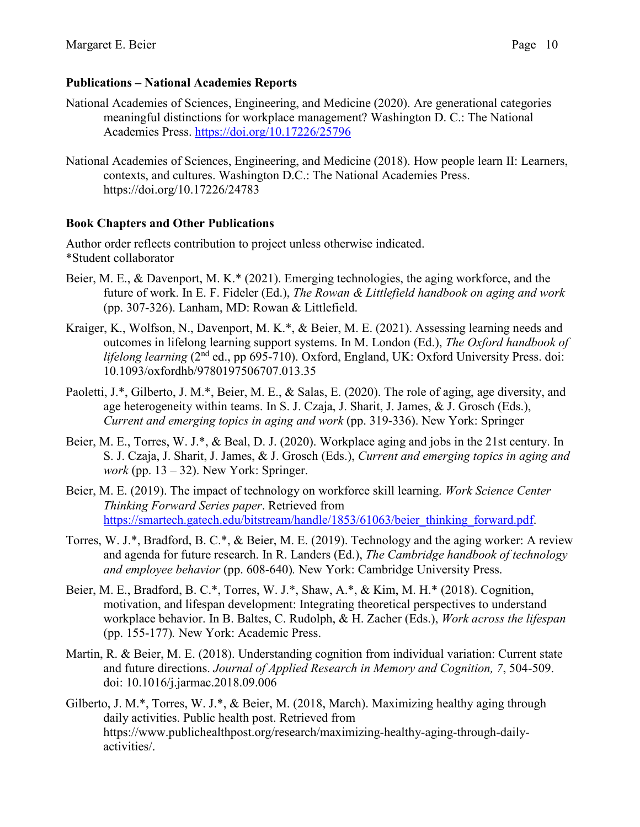## **Publications – National Academies Reports**

- National Academies of Sciences, Engineering, and Medicine (2020). Are generational categories meaningful distinctions for workplace management? Washington D. C.: The National Academies Press.<https://doi.org/10.17226/25796>
- National Academies of Sciences, Engineering, and Medicine (2018). How people learn II: Learners, contexts, and cultures. Washington D.C.: The National Academies Press. https://doi.org/10.17226/24783

# **Book Chapters and Other Publications**

Author order reflects contribution to project unless otherwise indicated. \*Student collaborator

- Beier, M. E., & Davenport, M. K.\* (2021). Emerging technologies, the aging workforce, and the future of work. In E. F. Fideler (Ed.), *The Rowan & Littlefield handbook on aging and work* (pp. 307-326). Lanham, MD: Rowan & Littlefield.
- Kraiger, K., Wolfson, N., Davenport, M. K.\*, & Beier, M. E. (2021). Assessing learning needs and outcomes in lifelong learning support systems. In M. London (Ed.), *The Oxford handbook of lifelong learning* (2<sup>nd</sup> ed., pp 695-710). Oxford, England, UK: Oxford University Press. doi: 10.1093/oxfordhb/9780197506707.013.35
- Paoletti, J.\*, Gilberto, J. M.\*, Beier, M. E., & Salas, E. (2020). The role of aging, age diversity, and age heterogeneity within teams. In S. J. Czaja, J. Sharit, J. James, & J. Grosch (Eds.), *Current and emerging topics in aging and work* (pp. 319-336). New York: Springer
- Beier, M. E., Torres, W. J.\*, & Beal, D. J. (2020). Workplace aging and jobs in the 21st century. In S. J. Czaja, J. Sharit, J. James, & J. Grosch (Eds.), *Current and emerging topics in aging and work* (pp.  $13 - 32$ ). New York: Springer.
- Beier, M. E. (2019). The impact of technology on workforce skill learning. *Work Science Center Thinking Forward Series paper*. Retrieved from [https://smartech.gatech.edu/bitstream/handle/1853/61063/beier\\_thinking\\_forward.pdf.](https://smartech.gatech.edu/bitstream/handle/1853/61063/beier_thinking_forward.pdf)
- Torres, W. J.\*, Bradford, B. C.\*, & Beier, M. E. (2019). Technology and the aging worker: A review and agenda for future research. In R. Landers (Ed.), *The Cambridge handbook of technology and employee behavior* (pp. 608-640)*.* New York: Cambridge University Press.
- Beier, M. E., Bradford, B. C.\*, Torres, W. J.\*, Shaw, A.\*, & Kim, M. H.\* (2018). Cognition, motivation, and lifespan development: Integrating theoretical perspectives to understand workplace behavior. In B. Baltes, C. Rudolph, & H. Zacher (Eds.), *Work across the lifespan* (pp. 155-177)*.* New York: Academic Press.
- Martin, R. & Beier, M. E. (2018). Understanding cognition from individual variation: Current state and future directions. *Journal of Applied Research in Memory and Cognition, 7*, 504-509. doi: 10.1016/j.jarmac.2018.09.006
- Gilberto, J. M.\*, Torres, W. J.\*, & Beier, M. (2018, March). Maximizing healthy aging through daily activities. Public health post. Retrieved from [https://www.publichealthpost.org/research/maximizing-healthy-aging-through-daily](https://www.publichealthpost.org/research/maximizing-healthy-aging-through-daily-activities/)[activities/.](https://www.publichealthpost.org/research/maximizing-healthy-aging-through-daily-activities/)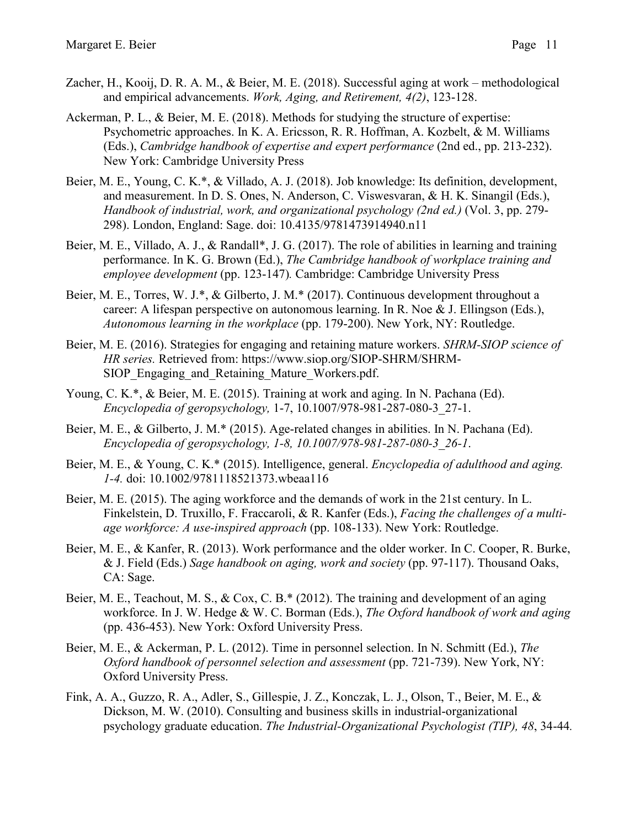- Zacher, H., Kooij, D. R. A. M., & Beier, M. E. (2018). Successful aging at work methodological and empirical advancements. *Work, Aging, and Retirement, 4(2)*, 123-128.
- Ackerman, P. L., & Beier, M. E. (2018). Methods for studying the structure of expertise: Psychometric approaches. In K. A. Ericsson, R. R. Hoffman, A. Kozbelt, & M. Williams (Eds.), *Cambridge handbook of expertise and expert performance* (2nd ed., pp. 213-232). New York: Cambridge University Press
- Beier, M. E., Young, C. K.\*, & Villado, A. J. (2018). Job knowledge: Its definition, development, and measurement. In D. S. Ones, N. Anderson, C. Viswesvaran, & H. K. Sinangil (Eds.), *Handbook of industrial, work, and organizational psychology (2nd ed.)* (Vol. 3, pp. 279- 298). London, England: Sage. doi: 10.4135/9781473914940.n11
- Beier, M. E., Villado, A. J., & Randall\*, J. G. (2017). The role of abilities in learning and training performance. In K. G. Brown (Ed.), *The Cambridge handbook of workplace training and employee development* (pp. 123-147)*.* Cambridge: Cambridge University Press
- Beier, M. E., Torres, W. J.\*, & Gilberto, J. M.\* (2017). Continuous development throughout a career: A lifespan perspective on autonomous learning. In R. Noe & J. Ellingson (Eds.), *Autonomous learning in the workplace* (pp. 179-200). New York, NY: Routledge.
- Beier, M. E. (2016). Strategies for engaging and retaining mature workers. *SHRM-SIOP science of HR series.* Retrieved from: https://www.siop.org/SIOP-SHRM/SHRM-SIOP Engaging and Retaining Mature Workers.pdf.
- Young, C. K.\*, & Beier, M. E. (2015). Training at work and aging. In N. Pachana (Ed). *Encyclopedia of geropsychology,* 1-7, 10.1007/978-981-287-080-3\_27-1.
- Beier, M. E., & Gilberto, J. M.\* (2015). Age-related changes in abilities. In N. Pachana (Ed). *Encyclopedia of geropsychology, 1-8, 10.1007/978-981-287-080-3\_26-1*.
- Beier, M. E., & Young, C. K.\* (2015). Intelligence, general. *Encyclopedia of adulthood and aging. 1-4.* doi: 10.1002/9781118521373.wbeaa116
- Beier, M. E. (2015). The aging workforce and the demands of work in the 21st century. In L. Finkelstein, D. Truxillo, F. Fraccaroli, & R. Kanfer (Eds.), *Facing the challenges of a multiage workforce: A use-inspired approach* (pp. 108-133). New York: Routledge.
- Beier, M. E., & Kanfer, R. (2013). Work performance and the older worker. In C. Cooper, R. Burke, & J. Field (Eds.) *Sage handbook on aging, work and society* (pp. 97-117). Thousand Oaks, CA: Sage.
- Beier, M. E., Teachout, M. S., & Cox, C. B.\* (2012). The training and development of an aging workforce. In J. W. Hedge & W. C. Borman (Eds.), *The Oxford handbook of work and aging*  (pp. 436-453). New York: Oxford University Press.
- Beier, M. E., & Ackerman, P. L. (2012). Time in personnel selection. In N. Schmitt (Ed.), *The Oxford handbook of personnel selection and assessment* (pp. 721-739). New York, NY: Oxford University Press.
- Fink, A. A., Guzzo, R. A., Adler, S., Gillespie, J. Z., Konczak, L. J., Olson, T., Beier, M. E., & Dickson, M. W. (2010). Consulting and business skills in industrial-organizational psychology graduate education. *The Industrial-Organizational Psychologist (TIP), 48*, 34-44*.*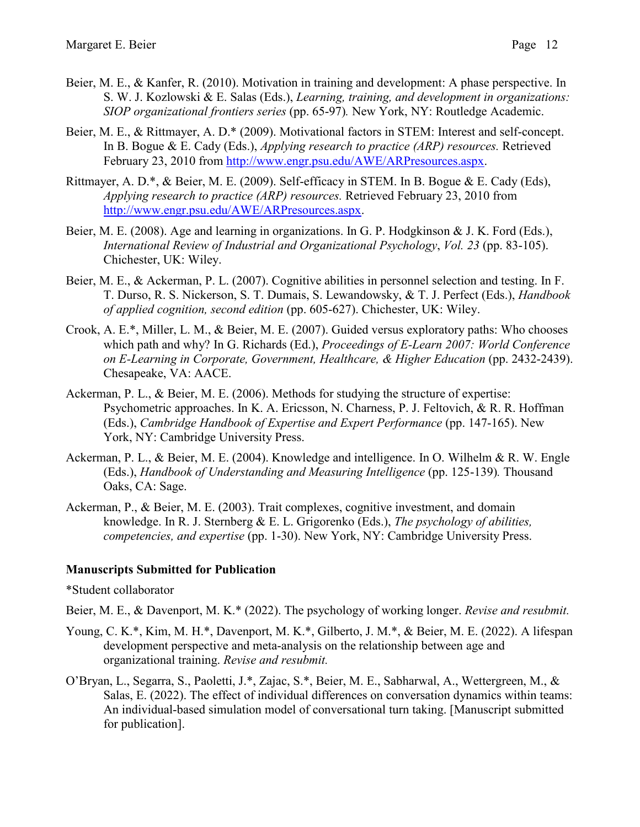- Beier, M. E., & Kanfer, R. (2010). Motivation in training and development: A phase perspective. In S. W. J. Kozlowski & E. Salas (Eds.), *Learning, training, and development in organizations: SIOP organizational frontiers series* (pp. 65-97)*.* New York, NY: Routledge Academic.
- Beier, M. E., & Rittmayer, A. D.\* (2009). Motivational factors in STEM: Interest and self-concept. In B. Bogue & E. Cady (Eds.), *Applying research to practice (ARP) resources.* Retrieved February 23, 2010 from [http://www.engr.psu.edu/AWE/ARPresources.aspx.](http://www.engr.psu.edu/AWE/ARPresources.aspx)
- Rittmayer, A. D.\*, & Beier, M. E. (2009). Self-efficacy in STEM. In B. Bogue & E. Cady (Eds), *Applying research to practice (ARP) resources.* Retrieved February 23, 2010 from [http://www.engr.psu.edu/AWE/ARPresources.aspx.](http://www.engr.psu.edu/AWE/ARPresources.aspx)
- Beier, M. E. (2008). Age and learning in organizations. In G. P. Hodgkinson & J. K. Ford (Eds.), *International Review of Industrial and Organizational Psychology*, *Vol. 23* (pp. 83-105). Chichester, UK: Wiley.
- Beier, M. E., & Ackerman, P. L. (2007). Cognitive abilities in personnel selection and testing. In F. T. Durso, R. S. Nickerson, S. T. Dumais, S. Lewandowsky, & T. J. Perfect (Eds.), *Handbook of applied cognition, second edition* (pp. 605-627). Chichester, UK: Wiley.
- Crook, A. E.\*, Miller, L. M., & Beier, M. E. (2007). Guided versus exploratory paths: Who chooses which path and why? In G. Richards (Ed.), *Proceedings of E-Learn 2007: World Conference on E-Learning in Corporate, Government, Healthcare, & Higher Education* (pp. 2432-2439). Chesapeake, VA: AACE.
- Ackerman, P. L., & Beier, M. E. (2006). Methods for studying the structure of expertise: Psychometric approaches. In K. A. Ericsson, N. Charness, P. J. Feltovich, & R. R. Hoffman (Eds.), *Cambridge Handbook of Expertise and Expert Performance* (pp. 147-165). New York, NY: Cambridge University Press.
- Ackerman, P. L., & Beier, M. E. (2004). Knowledge and intelligence. In O. Wilhelm & R. W. Engle (Eds.), *Handbook of Understanding and Measuring Intelligence* (pp. 125-139)*.* Thousand Oaks, CA: Sage.
- Ackerman, P., & Beier, M. E. (2003). Trait complexes, cognitive investment, and domain knowledge. In R. J. Sternberg & E. L. Grigorenko (Eds.), *The psychology of abilities, competencies, and expertise* (pp. 1-30). New York, NY: Cambridge University Press.

#### **Manuscripts Submitted for Publication**

\*Student collaborator

Beier, M. E., & Davenport, M. K.\* (2022). The psychology of working longer. *Revise and resubmit.*

- Young, C. K.\*, Kim, M. H.\*, Davenport, M. K.\*, Gilberto, J. M.\*, & Beier, M. E. (2022). A lifespan development perspective and meta-analysis on the relationship between age and organizational training. *Revise and resubmit.*
- O'Bryan, L., Segarra, S., Paoletti, J.\*, Zajac, S.\*, Beier, M. E., Sabharwal, A., Wettergreen, M., & Salas, E. (2022). The effect of individual differences on conversation dynamics within teams: An individual-based simulation model of conversational turn taking. [Manuscript submitted for publication].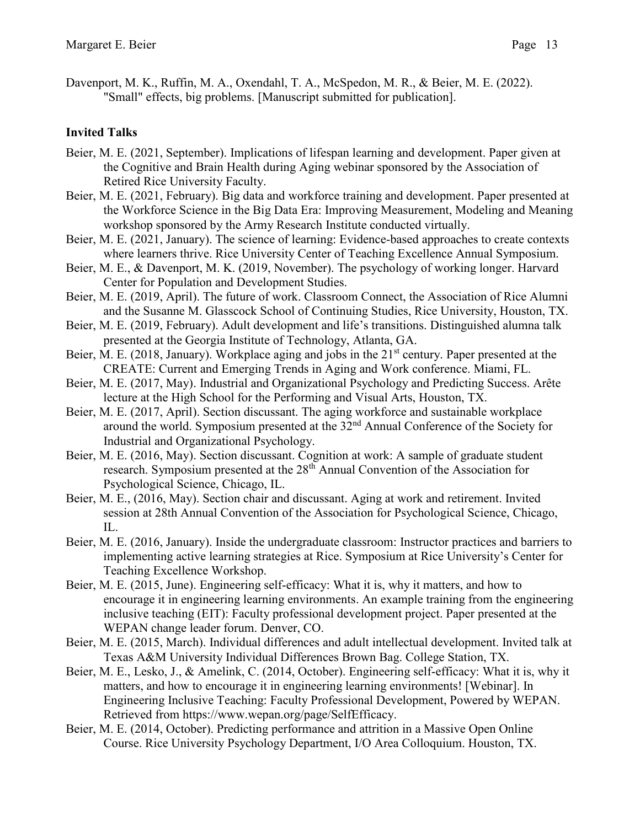Davenport, M. K., Ruffin, M. A., Oxendahl, T. A., McSpedon, M. R., & Beier, M. E. (2022). "Small" effects, big problems. [Manuscript submitted for publication].

### **Invited Talks**

- Beier, M. E. (2021, September). Implications of lifespan learning and development. Paper given at the Cognitive and Brain Health during Aging webinar sponsored by the Association of Retired Rice University Faculty.
- Beier, M. E. (2021, February). Big data and workforce training and development. Paper presented at the Workforce Science in the Big Data Era: Improving Measurement, Modeling and Meaning workshop sponsored by the Army Research Institute conducted virtually.
- Beier, M. E. (2021, January). The science of learning: Evidence-based approaches to create contexts where learners thrive. Rice University Center of Teaching Excellence Annual Symposium.
- Beier, M. E., & Davenport, M. K. (2019, November). The psychology of working longer. Harvard Center for Population and Development Studies.
- Beier, M. E. (2019, April). The future of work. Classroom Connect, the Association of Rice Alumni and the Susanne M. Glasscock School of Continuing Studies, Rice University, Houston, TX.
- Beier, M. E. (2019, February). Adult development and life's transitions. Distinguished alumna talk presented at the Georgia Institute of Technology, Atlanta, GA.
- Beier, M. E. (2018, January). Workplace aging and jobs in the  $21<sup>st</sup>$  century. Paper presented at the CREATE: Current and Emerging Trends in Aging and Work conference. Miami, FL.
- Beier, M. E. (2017, May). Industrial and Organizational Psychology and Predicting Success. Arête lecture at the High School for the Performing and Visual Arts, Houston, TX.
- Beier, M. E. (2017, April). Section discussant. The aging workforce and sustainable workplace around the world. Symposium presented at the 32<sup>nd</sup> Annual Conference of the Society for Industrial and Organizational Psychology.
- Beier, M. E. (2016, May). Section discussant. Cognition at work: A sample of graduate student research. Symposium presented at the 28th Annual Convention of the Association for Psychological Science, Chicago, IL.
- Beier, M. E., (2016, May). Section chair and discussant. Aging at work and retirement. Invited session at 28th Annual Convention of the Association for Psychological Science, Chicago, IL.
- Beier, M. E. (2016, January). Inside the undergraduate classroom: Instructor practices and barriers to implementing active learning strategies at Rice. Symposium at Rice University's Center for Teaching Excellence Workshop.
- Beier, M. E. (2015, June). Engineering self-efficacy: What it is, why it matters, and how to encourage it in engineering learning environments. An example training from the engineering inclusive teaching (EIT): Faculty professional development project. Paper presented at the WEPAN change leader forum. Denver, CO.
- Beier, M. E. (2015, March). Individual differences and adult intellectual development. Invited talk at Texas A&M University Individual Differences Brown Bag. College Station, TX.
- Beier, M. E., Lesko, J., & Amelink, C. (2014, October). Engineering self-efficacy: What it is, why it matters, and how to encourage it in engineering learning environments! [Webinar]. In Engineering Inclusive Teaching: Faculty Professional Development, Powered by WEPAN. Retrieved from https://www.wepan.org/page/SelfEfficacy.
- Beier, M. E. (2014, October). Predicting performance and attrition in a Massive Open Online Course. Rice University Psychology Department, I/O Area Colloquium. Houston, TX.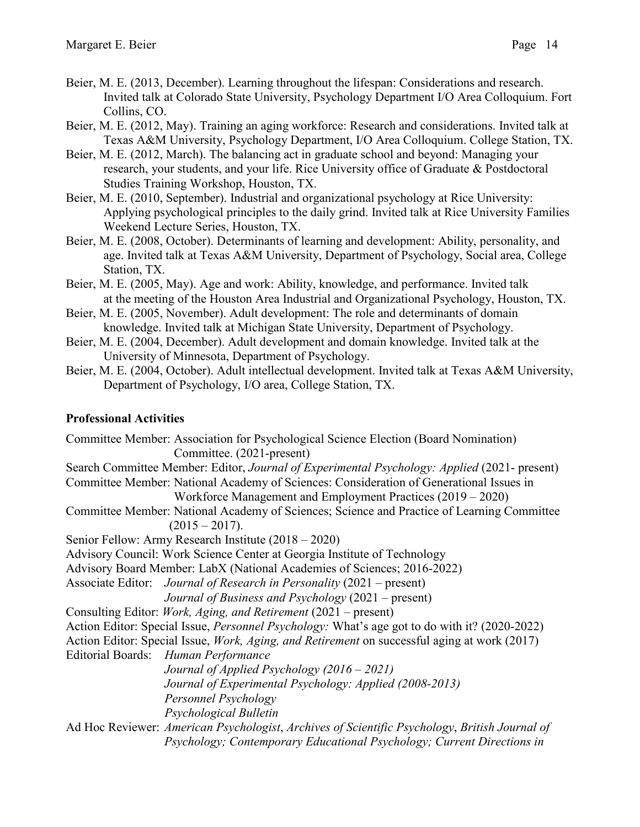- Beier, M. E. (2013, December). Learning throughout the lifespan: Considerations and research. Invited talk at Colorado State University, Psychology Department I/O Area Colloquium. Fort Collins, CO.
- Beier, M. E. (2012, May). Training an aging workforce: Research and considerations. Invited talk at Texas A&M University, Psychology Department, I/O Area Colloquium. College Station, TX.
- Beier, M. E. (2012, March). The balancing act in graduate school and beyond: Managing your research, your students, and your life. Rice University office of Graduate & Postdoctoral Studies Training Workshop, Houston, TX.
- Beier, M. E. (2010, September). Industrial and organizational psychology at Rice University: Applying psychological principles to the daily grind. Invited talk at Rice University Families Weekend Lecture Series, Houston, TX.
- Beier, M. E. (2008, October). Determinants of learning and development: Ability, personality, and age. Invited talk at Texas A&M University, Department of Psychology, Social area, College Station, TX.
- Beier, M. E. (2005, May). Age and work: Ability, knowledge, and performance. Invited talk at the meeting of the Houston Area Industrial and Organizational Psychology, Houston, TX.
- Beier, M. E. (2005, November). Adult development: The role and determinants of domain knowledge. Invited talk at Michigan State University, Department of Psychology.
- Beier, M. E. (2004, December). Adult development and domain knowledge. Invited talk at the University of Minnesota, Department of Psychology.
- Beier, M. E. (2004, October). Adult intellectual development. Invited talk at Texas A&M University, Department of Psychology, I/O area, College Station, TX.

# **Professional Activities**

Committee Member: Association for Psychological Science Election (Board Nomination) Committee. (2021-present) Search Committee Member: Editor, *Journal of Experimental Psychology: Applied* (2021- present) Committee Member: National Academy of Sciences: Consideration of Generational Issues in Workforce Management and Employment Practices (2019 – 2020) Committee Member: National Academy of Sciences; Science and Practice of Learning Committee  $(2015 - 2017)$ . Senior Fellow: Army Research Institute (2018 – 2020) Advisory Council: Work Science Center at Georgia Institute of Technology Advisory Board Member: LabX (National Academies of Sciences; 2016-2022) Associate Editor: *Journal of Research in Personality* (2021 – present) *Journal of Business and Psychology* (2021 – present) Consulting Editor: *Work, Aging, and Retirement* (2021 – present) Action Editor: Special Issue, *Personnel Psychology:* What's age got to do with it? (2020-2022) Action Editor: Special Issue, *Work, Aging, and Retirement* on successful aging at work (2017) Editorial Boards: *Human Performance Journal of Applied Psychology (2016 – 2021) Journal of Experimental Psychology: Applied (2008-2013) Personnel Psychology Psychological Bulletin* Ad Hoc Reviewer: *American Psychologist*, *Archives of Scientific Psychology*, *British Journal of Psychology; Contemporary Educational Psychology; Current Directions in*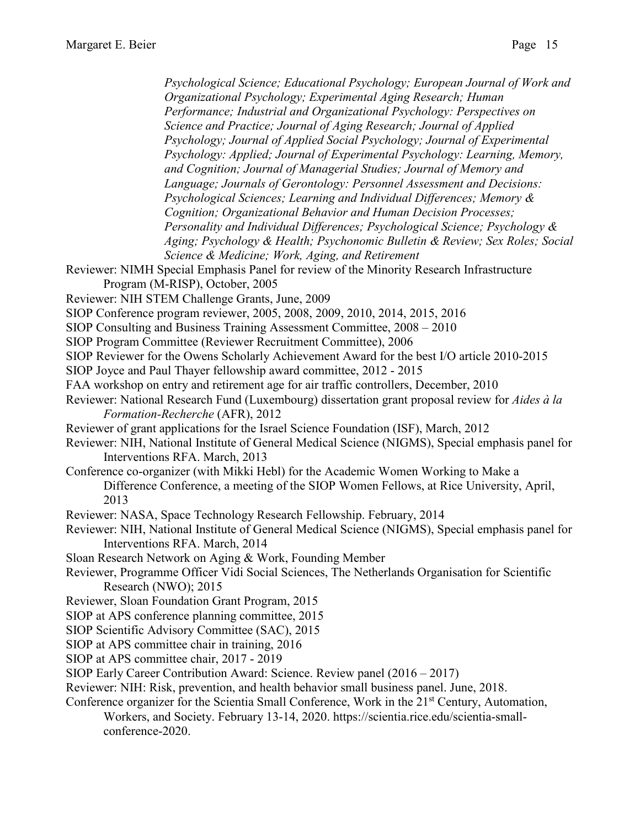*Psychological Science; Educational Psychology; European Journal of Work and Organizational Psychology; Experimental Aging Research; Human Performance; Industrial and Organizational Psychology: Perspectives on Science and Practice; Journal of Aging Research; Journal of Applied Psychology; Journal of Applied Social Psychology; Journal of Experimental Psychology: Applied; Journal of Experimental Psychology: Learning, Memory, and Cognition; Journal of Managerial Studies; Journal of Memory and Language; Journals of Gerontology: Personnel Assessment and Decisions: Psychological Sciences; Learning and Individual Differences; Memory & Cognition; Organizational Behavior and Human Decision Processes; Personality and Individual Differences; Psychological Science; Psychology & Aging; Psychology & Health; Psychonomic Bulletin & Review; Sex Roles; Social Science & Medicine; Work, Aging, and Retirement* Reviewer: NIMH Special Emphasis Panel for review of the Minority Research Infrastructure Program (M-RISP), October, 2005 Reviewer: NIH STEM Challenge Grants, June, 2009 SIOP Conference program reviewer, 2005, 2008, 2009, 2010, 2014, 2015, 2016 SIOP Consulting and Business Training Assessment Committee, 2008 – 2010 SIOP Program Committee (Reviewer Recruitment Committee), 2006 SIOP Reviewer for the Owens Scholarly Achievement Award for the best I/O article 2010-2015 SIOP Joyce and Paul Thayer fellowship award committee, 2012 - 2015 FAA workshop on entry and retirement age for air traffic controllers, December, 2010 Reviewer: National Research Fund (Luxembourg) dissertation grant proposal review for *Aides à la Formation-Recherche* (AFR), 2012 Reviewer of grant applications for the Israel Science Foundation (ISF), March, 2012 Reviewer: NIH, National Institute of General Medical Science (NIGMS), Special emphasis panel for Interventions RFA. March, 2013 Conference co-organizer (with Mikki Hebl) for the Academic Women Working to Make a Difference Conference, a meeting of the SIOP Women Fellows, at Rice University, April, 2013 Reviewer: NASA, Space Technology Research Fellowship. February, 2014 Reviewer: NIH, National Institute of General Medical Science (NIGMS), Special emphasis panel for Interventions RFA. March, 2014 Sloan Research Network on Aging & Work, Founding Member Reviewer, Programme Officer Vidi Social Sciences, The Netherlands Organisation for Scientific Research (NWO); 2015 Reviewer, Sloan Foundation Grant Program, 2015 SIOP at APS conference planning committee, 2015 SIOP Scientific Advisory Committee (SAC), 2015 SIOP at APS committee chair in training, 2016 SIOP at APS committee chair, 2017 - 2019 SIOP Early Career Contribution Award: Science. Review panel (2016 – 2017) Reviewer: NIH: Risk, prevention, and health behavior small business panel. June, 2018. Conference organizer for the Scientia Small Conference, Work in the  $21<sup>st</sup>$  Century, Automation,

Workers, and Society. February 13-14, 2020. https://scientia.rice.edu/scientia-smallconference-2020.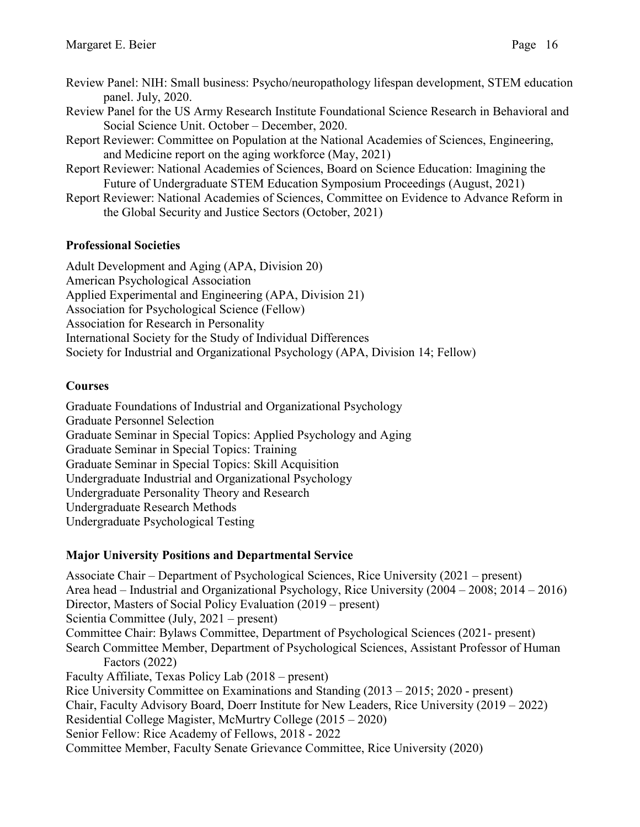- Review Panel: NIH: Small business: Psycho/neuropathology lifespan development, STEM education panel. July, 2020.
- Review Panel for the US Army Research Institute Foundational Science Research in Behavioral and Social Science Unit. October – December, 2020.
- Report Reviewer: Committee on Population at the National Academies of Sciences, Engineering, and Medicine report on the aging workforce (May, 2021)
- Report Reviewer: National Academies of Sciences, Board on Science Education: Imagining the Future of Undergraduate STEM Education Symposium Proceedings (August, 2021)
- Report Reviewer: National Academies of Sciences, Committee on Evidence to Advance Reform in the Global Security and Justice Sectors (October, 2021)

#### **Professional Societies**

Adult Development and Aging (APA, Division 20) American Psychological Association Applied Experimental and Engineering (APA, Division 21) Association for Psychological Science (Fellow) Association for Research in Personality International Society for the Study of Individual Differences Society for Industrial and Organizational Psychology (APA, Division 14; Fellow)

### **Courses**

Graduate Foundations of Industrial and Organizational Psychology Graduate Personnel Selection Graduate Seminar in Special Topics: Applied Psychology and Aging Graduate Seminar in Special Topics: Training Graduate Seminar in Special Topics: Skill Acquisition Undergraduate Industrial and Organizational Psychology Undergraduate Personality Theory and Research Undergraduate Research Methods Undergraduate Psychological Testing

### **Major University Positions and Departmental Service**

Associate Chair – Department of Psychological Sciences, Rice University (2021 – present) Area head – Industrial and Organizational Psychology, Rice University (2004 – 2008; 2014 – 2016) Director, Masters of Social Policy Evaluation (2019 – present) Scientia Committee (July, 2021 – present) Committee Chair: Bylaws Committee, Department of Psychological Sciences (2021- present) Search Committee Member, Department of Psychological Sciences, Assistant Professor of Human Factors (2022) Faculty Affiliate, Texas Policy Lab (2018 – present) Rice University Committee on Examinations and Standing (2013 – 2015; 2020 - present) Chair, Faculty Advisory Board, Doerr Institute for New Leaders, Rice University (2019 – 2022) Residential College Magister, McMurtry College (2015 – 2020) Senior Fellow: Rice Academy of Fellows, 2018 - 2022 Committee Member, Faculty Senate Grievance Committee, Rice University (2020)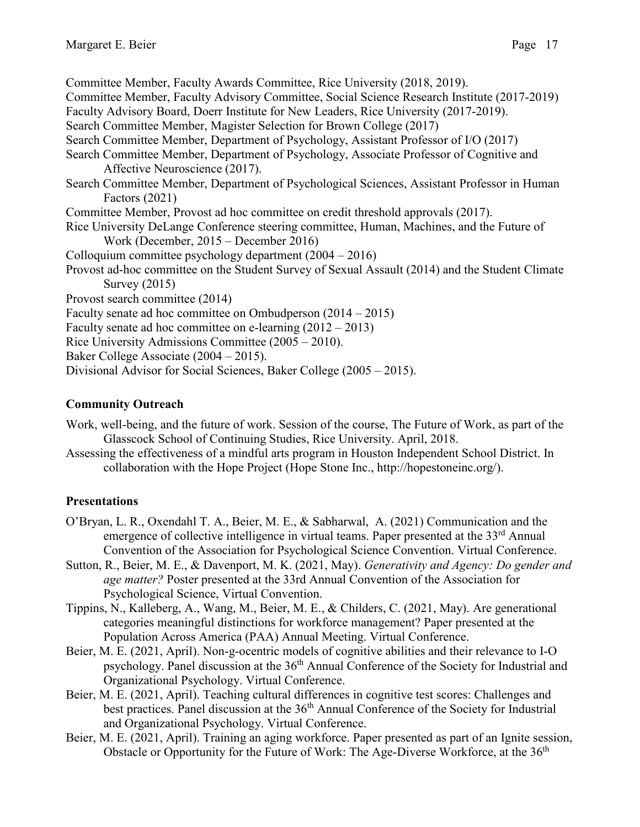Committee Member, Faculty Awards Committee, Rice University (2018, 2019). Committee Member, Faculty Advisory Committee, Social Science Research Institute (2017-2019) Faculty Advisory Board, Doerr Institute for New Leaders, Rice University (2017-2019). Search Committee Member, Magister Selection for Brown College (2017) Search Committee Member, Department of Psychology, Assistant Professor of I/O (2017) Search Committee Member, Department of Psychology, Associate Professor of Cognitive and Affective Neuroscience (2017). Search Committee Member, Department of Psychological Sciences, Assistant Professor in Human Factors (2021) Committee Member, Provost ad hoc committee on credit threshold approvals (2017). Rice University DeLange Conference steering committee, Human, Machines, and the Future of Work (December, 2015 – December 2016) Colloquium committee psychology department (2004 – 2016) Provost ad-hoc committee on the Student Survey of Sexual Assault (2014) and the Student Climate Survey (2015) Provost search committee (2014) Faculty senate ad hoc committee on Ombudperson (2014 – 2015) Faculty senate ad hoc committee on e-learning (2012 – 2013) Rice University Admissions Committee (2005 – 2010). Baker College Associate (2004 – 2015). Divisional Advisor for Social Sciences, Baker College (2005 – 2015).

### **Community Outreach**

- Work, well-being, and the future of work. Session of the course, The Future of Work, as part of the Glasscock School of Continuing Studies, Rice University. April, 2018.
- Assessing the effectiveness of a mindful arts program in Houston Independent School District. In collaboration with the Hope Project (Hope Stone Inc., http://hopestoneinc.org/).

#### **Presentations**

- O'Bryan, L. R., Oxendahl T. A., Beier, M. E., & Sabharwal, A. (2021) Communication and the emergence of collective intelligence in virtual teams. Paper presented at the  $33<sup>rd</sup>$  Annual Convention of the Association for Psychological Science Convention. Virtual Conference.
- Sutton, R., Beier, M. E., & Davenport, M. K. (2021, May). *Generativity and Agency: Do gender and age matter?* Poster presented at the 33rd Annual Convention of the Association for Psychological Science, Virtual Convention.
- Tippins, N., Kalleberg, A., Wang, M., Beier, M. E., & Childers, C. (2021, May). Are generational categories meaningful distinctions for workforce management? Paper presented at the Population Across America (PAA) Annual Meeting. Virtual Conference.
- Beier, M. E. (2021, April). Non-g-ocentric models of cognitive abilities and their relevance to I-O psychology. Panel discussion at the 36<sup>th</sup> Annual Conference of the Society for Industrial and Organizational Psychology. Virtual Conference.
- Beier, M. E. (2021, April). Teaching cultural differences in cognitive test scores: Challenges and best practices. Panel discussion at the 36<sup>th</sup> Annual Conference of the Society for Industrial and Organizational Psychology. Virtual Conference.
- Beier, M. E. (2021, April). Training an aging workforce. Paper presented as part of an Ignite session, Obstacle or Opportunity for the Future of Work: The Age-Diverse Workforce, at the 36<sup>th</sup>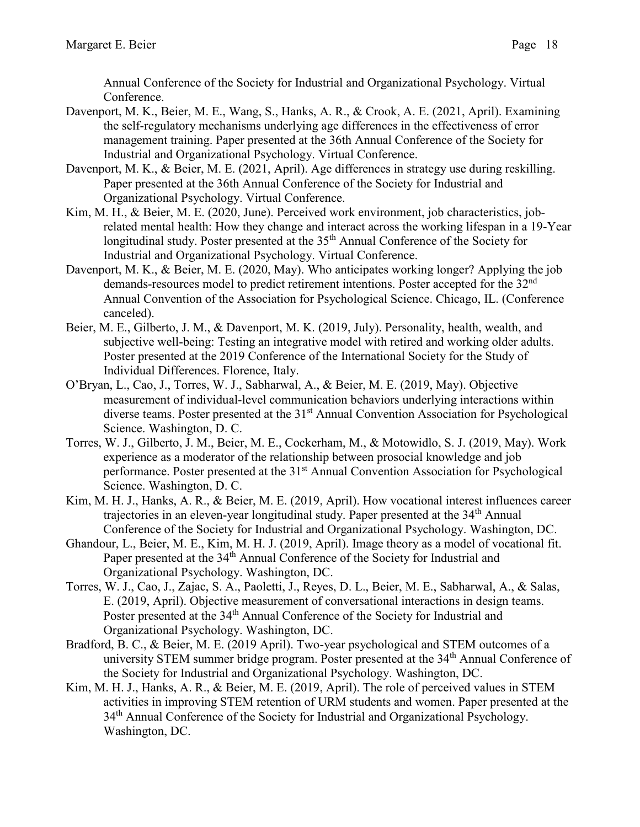Annual Conference of the Society for Industrial and Organizational Psychology. Virtual Conference.

- Davenport, M. K., Beier, M. E., Wang, S., Hanks, A. R., & Crook, A. E. (2021, April). Examining the self-regulatory mechanisms underlying age differences in the effectiveness of error management training. Paper presented at the 36th Annual Conference of the Society for Industrial and Organizational Psychology. Virtual Conference.
- Davenport, M. K., & Beier, M. E. (2021, April). Age differences in strategy use during reskilling. Paper presented at the 36th Annual Conference of the Society for Industrial and Organizational Psychology. Virtual Conference.
- Kim, M. H., & Beier, M. E. (2020, June). Perceived work environment, job characteristics, jobrelated mental health: How they change and interact across the working lifespan in a 19-Year longitudinal study. Poster presented at the 35<sup>th</sup> Annual Conference of the Society for Industrial and Organizational Psychology. Virtual Conference.
- Davenport, M. K., & Beier, M. E. (2020, May). Who anticipates working longer? Applying the job demands-resources model to predict retirement intentions. Poster accepted for the 32<sup>nd</sup> Annual Convention of the Association for Psychological Science. Chicago, IL. (Conference canceled).
- Beier, M. E., Gilberto, J. M., & Davenport, M. K. (2019, July). Personality, health, wealth, and subjective well-being: Testing an integrative model with retired and working older adults. Poster presented at the 2019 Conference of the International Society for the Study of Individual Differences. Florence, Italy.
- O'Bryan, L., Cao, J., Torres, W. J., Sabharwal, A., & Beier, M. E. (2019, May). Objective measurement of individual-level communication behaviors underlying interactions within diverse teams. Poster presented at the 31<sup>st</sup> Annual Convention Association for Psychological Science. Washington, D. C.
- Torres, W. J., Gilberto, J. M., Beier, M. E., Cockerham, M., & Motowidlo, S. J. (2019, May). Work experience as a moderator of the relationship between prosocial knowledge and job performance. Poster presented at the 31<sup>st</sup> Annual Convention Association for Psychological Science. Washington, D. C.
- Kim, M. H. J., Hanks, A. R., & Beier, M. E. (2019, April). How vocational interest influences career trajectories in an eleven-year longitudinal study. Paper presented at the 34<sup>th</sup> Annual Conference of the Society for Industrial and Organizational Psychology. Washington, DC.
- Ghandour, L., Beier, M. E., Kim, M. H. J. (2019, April). Image theory as a model of vocational fit. Paper presented at the 34<sup>th</sup> Annual Conference of the Society for Industrial and Organizational Psychology. Washington, DC.
- Torres, W. J., Cao, J., Zajac, S. A., Paoletti, J., Reyes, D. L., Beier, M. E., Sabharwal, A., & Salas, E. (2019, April). Objective measurement of conversational interactions in design teams. Poster presented at the 34<sup>th</sup> Annual Conference of the Society for Industrial and Organizational Psychology. Washington, DC.
- Bradford, B. C., & Beier, M. E. (2019 April). Two-year psychological and STEM outcomes of a university STEM summer bridge program. Poster presented at the 34<sup>th</sup> Annual Conference of the Society for Industrial and Organizational Psychology. Washington, DC.
- Kim, M. H. J., Hanks, A. R., & Beier, M. E. (2019, April). The role of perceived values in STEM activities in improving STEM retention of URM students and women. Paper presented at the 34<sup>th</sup> Annual Conference of the Society for Industrial and Organizational Psychology. Washington, DC.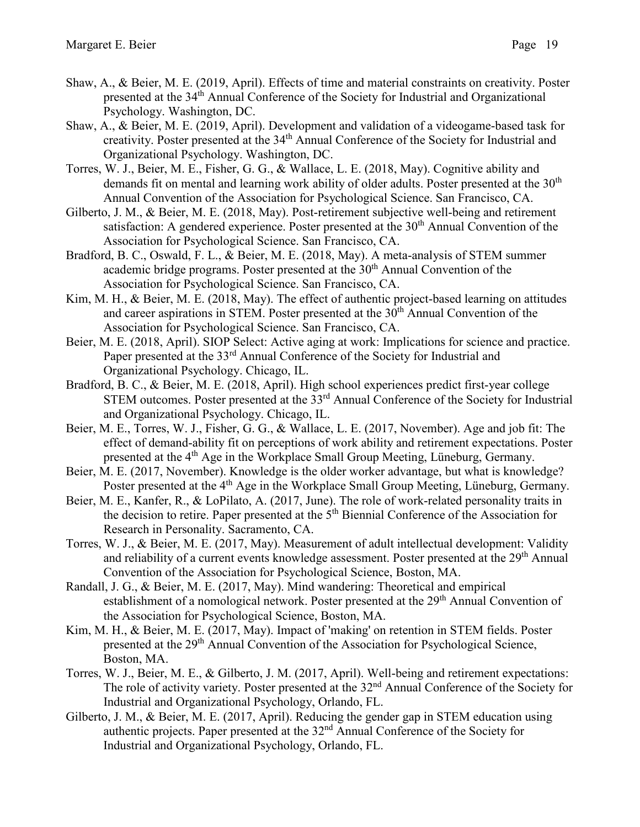- 
- Shaw, A., & Beier, M. E. (2019, April). Effects of time and material constraints on creativity. Poster presented at the 34<sup>th</sup> Annual Conference of the Society for Industrial and Organizational Psychology. Washington, DC.
- Shaw, A., & Beier, M. E. (2019, April). Development and validation of a videogame-based task for creativity. Poster presented at the 34<sup>th</sup> Annual Conference of the Society for Industrial and Organizational Psychology. Washington, DC.
- Torres, W. J., Beier, M. E., Fisher, G. G., & Wallace, L. E. (2018, May). Cognitive ability and demands fit on mental and learning work ability of older adults. Poster presented at the  $30<sup>th</sup>$ Annual Convention of the Association for Psychological Science. San Francisco, CA.
- Gilberto, J. M., & Beier, M. E. (2018, May). Post-retirement subjective well-being and retirement satisfaction: A gendered experience. Poster presented at the 30<sup>th</sup> Annual Convention of the Association for Psychological Science. San Francisco, CA.
- Bradford, B. C., Oswald, F. L., & Beier, M. E. (2018, May). A meta-analysis of STEM summer academic bridge programs. Poster presented at the  $30<sup>th</sup>$  Annual Convention of the Association for Psychological Science. San Francisco, CA.
- Kim, M. H., & Beier, M. E. (2018, May). The effect of authentic project-based learning on attitudes and career aspirations in STEM. Poster presented at the 30<sup>th</sup> Annual Convention of the Association for Psychological Science. San Francisco, CA.
- Beier, M. E. (2018, April). SIOP Select: Active aging at work: Implications for science and practice. Paper presented at the 33<sup>rd</sup> Annual Conference of the Society for Industrial and Organizational Psychology. Chicago, IL.
- Bradford, B. C., & Beier, M. E. (2018, April). High school experiences predict first-year college STEM outcomes. Poster presented at the 33<sup>rd</sup> Annual Conference of the Society for Industrial and Organizational Psychology. Chicago, IL.
- Beier, M. E., Torres, W. J., Fisher, G. G., & Wallace, L. E. (2017, November). Age and job fit: The effect of demand-ability fit on perceptions of work ability and retirement expectations. Poster presented at the 4<sup>th</sup> Age in the Workplace Small Group Meeting, Lüneburg, Germany.
- Beier, M. E. (2017, November). Knowledge is the older worker advantage, but what is knowledge? Poster presented at the 4<sup>th</sup> Age in the Workplace Small Group Meeting, Lüneburg, Germany.
- Beier, M. E., Kanfer, R., & LoPilato, A. (2017, June). The role of work-related personality traits in the decision to retire. Paper presented at the 5<sup>th</sup> Biennial Conference of the Association for Research in Personality. Sacramento, CA.
- Torres, W. J., & Beier, M. E. (2017, May). Measurement of adult intellectual development: Validity and reliability of a current events knowledge assessment. Poster presented at the 29<sup>th</sup> Annual Convention of the Association for Psychological Science, Boston, MA.
- Randall, J. G., & Beier, M. E. (2017, May). Mind wandering: Theoretical and empirical establishment of a nomological network. Poster presented at the 29<sup>th</sup> Annual Convention of the Association for Psychological Science, Boston, MA.
- Kim, M. H., & Beier, M. E. (2017, May). Impact of 'making' on retention in STEM fields. Poster presented at the 29<sup>th</sup> Annual Convention of the Association for Psychological Science, Boston, MA.
- Torres, W. J., Beier, M. E., & Gilberto, J. M. (2017, April). Well-being and retirement expectations: The role of activity variety. Poster presented at the 32<sup>nd</sup> Annual Conference of the Society for Industrial and Organizational Psychology, Orlando, FL.
- Gilberto, J. M., & Beier, M. E. (2017, April). Reducing the gender gap in STEM education using authentic projects. Paper presented at the 32nd Annual Conference of the Society for Industrial and Organizational Psychology, Orlando, FL.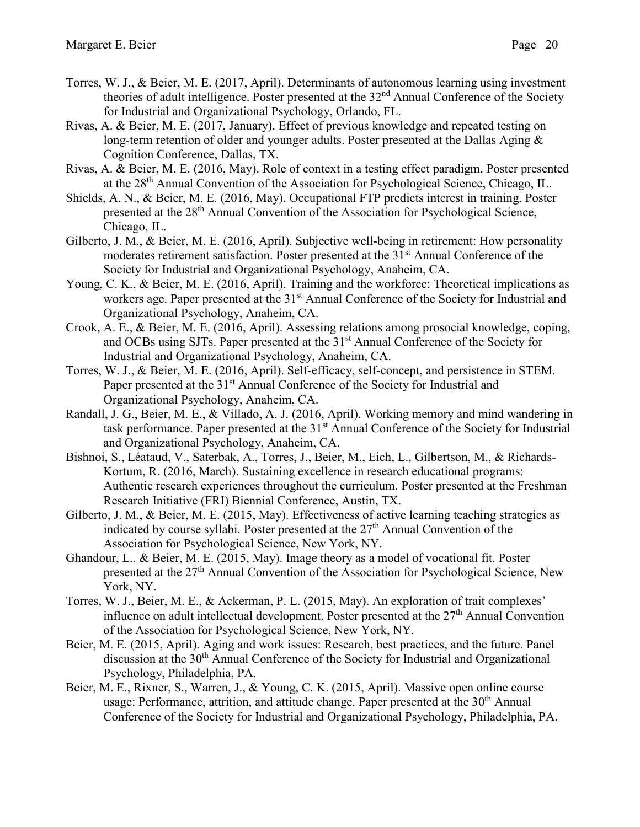- Torres, W. J., & Beier, M. E. (2017, April). Determinants of autonomous learning using investment theories of adult intelligence. Poster presented at the 32<sup>nd</sup> Annual Conference of the Society for Industrial and Organizational Psychology, Orlando, FL.
- Rivas, A. & Beier, M. E. (2017, January). Effect of previous knowledge and repeated testing on long-term retention of older and younger adults. Poster presented at the Dallas Aging & Cognition Conference, Dallas, TX.
- Rivas, A. & Beier, M. E. (2016, May). Role of context in a testing effect paradigm. Poster presented at the 28<sup>th</sup> Annual Convention of the Association for Psychological Science, Chicago, IL.
- Shields, A. N., & Beier, M. E. (2016, May). Occupational FTP predicts interest in training. Poster presented at the 28<sup>th</sup> Annual Convention of the Association for Psychological Science, Chicago, IL.
- Gilberto, J. M., & Beier, M. E. (2016, April). Subjective well-being in retirement: How personality moderates retirement satisfaction. Poster presented at the 31<sup>st</sup> Annual Conference of the Society for Industrial and Organizational Psychology, Anaheim, CA.
- Young, C. K., & Beier, M. E. (2016, April). Training and the workforce: Theoretical implications as workers age. Paper presented at the 31<sup>st</sup> Annual Conference of the Society for Industrial and Organizational Psychology, Anaheim, CA.
- Crook, A. E., & Beier, M. E. (2016, April). Assessing relations among prosocial knowledge, coping, and OCBs using SJTs. Paper presented at the 31<sup>st</sup> Annual Conference of the Society for Industrial and Organizational Psychology, Anaheim, CA.
- Torres, W. J., & Beier, M. E. (2016, April). Self-efficacy, self-concept, and persistence in STEM. Paper presented at the 31<sup>st</sup> Annual Conference of the Society for Industrial and Organizational Psychology, Anaheim, CA.
- Randall, J. G., Beier, M. E., & Villado, A. J. (2016, April). Working memory and mind wandering in task performance. Paper presented at the 31<sup>st</sup> Annual Conference of the Society for Industrial and Organizational Psychology, Anaheim, CA.
- Bishnoi, S., Léataud, V., Saterbak, A., Torres, J., Beier, M., Eich, L., Gilbertson, M., & Richards-Kortum, R. (2016, March). Sustaining excellence in research educational programs: Authentic research experiences throughout the curriculum. Poster presented at the Freshman Research Initiative (FRI) Biennial Conference, Austin, TX.
- Gilberto, J. M., & Beier, M. E. (2015, May). Effectiveness of active learning teaching strategies as indicated by course syllabi. Poster presented at the  $27<sup>th</sup>$  Annual Convention of the Association for Psychological Science, New York, NY.
- Ghandour, L., & Beier, M. E. (2015, May). Image theory as a model of vocational fit. Poster presented at the 27<sup>th</sup> Annual Convention of the Association for Psychological Science, New York, NY.
- Torres, W. J., Beier, M. E., & Ackerman, P. L. (2015, May). An exploration of trait complexes' influence on adult intellectual development. Poster presented at the 27<sup>th</sup> Annual Convention of the Association for Psychological Science, New York, NY.
- Beier, M. E. (2015, April). Aging and work issues: Research, best practices, and the future. Panel discussion at the 30<sup>th</sup> Annual Conference of the Society for Industrial and Organizational Psychology, Philadelphia, PA.
- Beier, M. E., Rixner, S., Warren, J., & Young, C. K. (2015, April). Massive open online course usage: Performance, attrition, and attitude change. Paper presented at the 30<sup>th</sup> Annual Conference of the Society for Industrial and Organizational Psychology, Philadelphia, PA.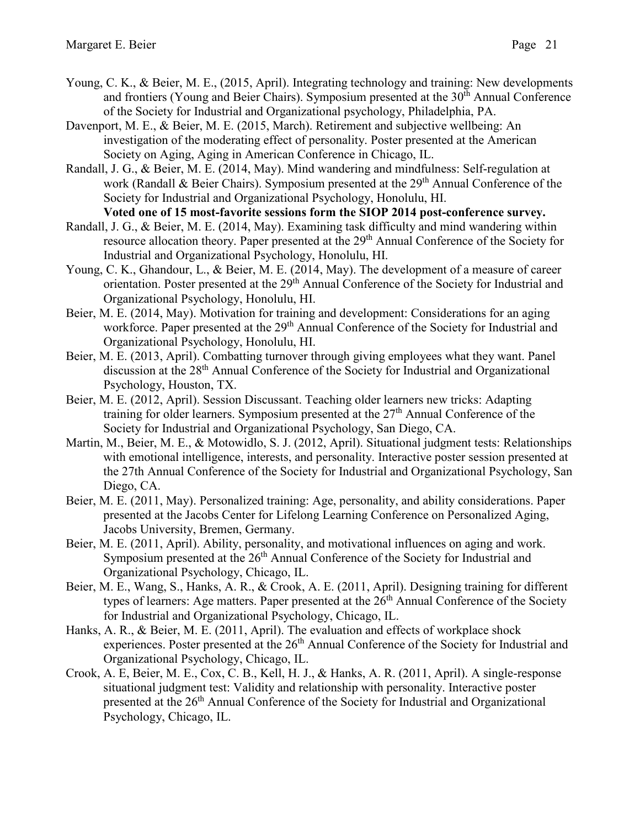- Young, C. K., & Beier, M. E., (2015, April). Integrating technology and training: New developments and frontiers (Young and Beier Chairs). Symposium presented at the 30<sup>th</sup> Annual Conference of the Society for Industrial and Organizational psychology, Philadelphia, PA.
- Davenport, M. E., & Beier, M. E. (2015, March). Retirement and subjective wellbeing: An investigation of the moderating effect of personality. Poster presented at the American Society on Aging, Aging in American Conference in Chicago, IL.
- Randall, J. G., & Beier, M. E. (2014, May). Mind wandering and mindfulness: Self-regulation at work (Randall & Beier Chairs). Symposium presented at the  $29<sup>th</sup>$  Annual Conference of the Society for Industrial and Organizational Psychology, Honolulu, HI.
- **Voted one of 15 most-favorite sessions form the SIOP 2014 post-conference survey.** Randall, J. G., & Beier, M. E. (2014, May). Examining task difficulty and mind wandering within resource allocation theory. Paper presented at the 29<sup>th</sup> Annual Conference of the Society for Industrial and Organizational Psychology, Honolulu, HI.
- Young, C. K., Ghandour, L., & Beier, M. E. (2014, May). The development of a measure of career orientation. Poster presented at the 29<sup>th</sup> Annual Conference of the Society for Industrial and Organizational Psychology, Honolulu, HI.
- Beier, M. E. (2014, May). Motivation for training and development: Considerations for an aging workforce. Paper presented at the 29<sup>th</sup> Annual Conference of the Society for Industrial and Organizational Psychology, Honolulu, HI.
- Beier, M. E. (2013, April). Combatting turnover through giving employees what they want. Panel discussion at the 28<sup>th</sup> Annual Conference of the Society for Industrial and Organizational Psychology, Houston, TX.
- Beier, M. E. (2012, April). Session Discussant. Teaching older learners new tricks: Adapting training for older learners. Symposium presented at the 27<sup>th</sup> Annual Conference of the Society for Industrial and Organizational Psychology, San Diego, CA.
- Martin, M., Beier, M. E., & Motowidlo, S. J. (2012, April). Situational judgment tests: Relationships with emotional intelligence, interests, and personality. Interactive poster session presented at the 27th Annual Conference of the Society for Industrial and Organizational Psychology, San Diego, CA.
- Beier, M. E. (2011, May). Personalized training: Age, personality, and ability considerations. Paper presented at the Jacobs Center for Lifelong Learning Conference on Personalized Aging, Jacobs University, Bremen, Germany.
- Beier, M. E. (2011, April). Ability, personality, and motivational influences on aging and work. Symposium presented at the  $26<sup>th</sup>$  Annual Conference of the Society for Industrial and Organizational Psychology, Chicago, IL.
- Beier, M. E., Wang, S., Hanks, A. R., & Crook, A. E. (2011, April). Designing training for different types of learners: Age matters. Paper presented at the  $26<sup>th</sup>$  Annual Conference of the Society for Industrial and Organizational Psychology, Chicago, IL.
- Hanks, A. R., & Beier, M. E. (2011, April). The evaluation and effects of workplace shock experiences. Poster presented at the 26<sup>th</sup> Annual Conference of the Society for Industrial and Organizational Psychology, Chicago, IL.
- Crook, A. E, Beier, M. E., Cox, C. B., Kell, H. J., & Hanks, A. R. (2011, April). A single-response situational judgment test: Validity and relationship with personality. Interactive poster presented at the 26th Annual Conference of the Society for Industrial and Organizational Psychology, Chicago, IL.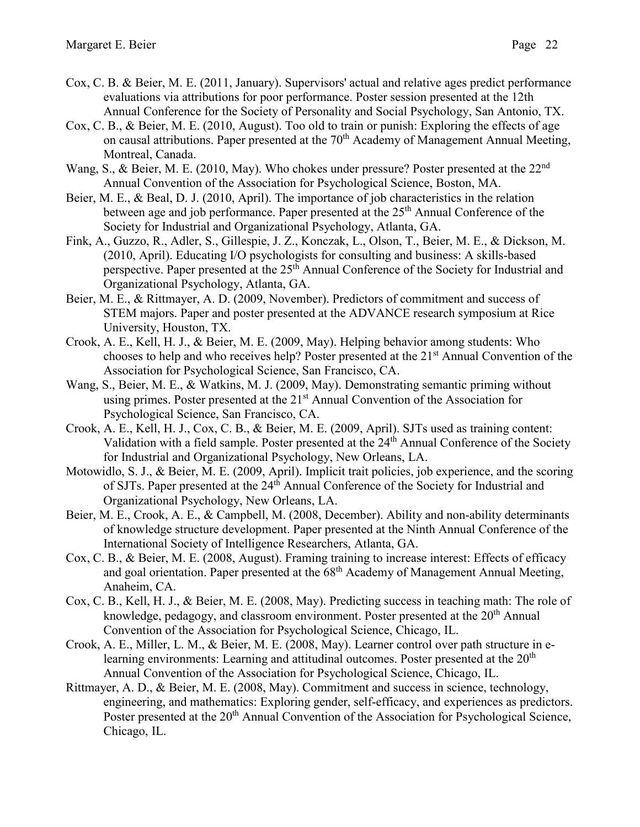- Cox, C. B. & Beier, M. E. (2011, January). Supervisors' actual and relative ages predict performance evaluations via attributions for poor performance. Poster session presented at the 12th Annual Conference for the Society of Personality and Social Psychology, San Antonio, TX.
- Cox, C. B., & Beier, M. E. (2010, August). Too old to train or punish: Exploring the effects of age on causal attributions. Paper presented at the 70<sup>th</sup> Academy of Management Annual Meeting, Montreal, Canada.
- Wang, S., & Beier, M. E. (2010, May). Who chokes under pressure? Poster presented at the  $22<sup>nd</sup>$ Annual Convention of the Association for Psychological Science, Boston, MA.
- Beier, M. E., & Beal, D. J. (2010, April). The importance of job characteristics in the relation between age and job performance. Paper presented at the 25<sup>th</sup> Annual Conference of the Society for Industrial and Organizational Psychology, Atlanta, GA.
- Fink, A., Guzzo, R., Adler, S., Gillespie, J. Z., Konczak, L., Olson, T., Beier, M. E., & Dickson, M. (2010, April). Educating I/O psychologists for consulting and business: A skills-based perspective. Paper presented at the 25<sup>th</sup> Annual Conference of the Society for Industrial and Organizational Psychology, Atlanta, GA.
- Beier, M. E., & Rittmayer, A. D. (2009, November). Predictors of commitment and success of STEM majors. Paper and poster presented at the ADVANCE research symposium at Rice University, Houston, TX.
- Crook, A. E., Kell, H. J., & Beier, M. E. (2009, May). Helping behavior among students: Who chooses to help and who receives help? Poster presented at the 21st Annual Convention of the Association for Psychological Science, San Francisco, CA.
- Wang, S., Beier, M. E., & Watkins, M. J. (2009, May). Demonstrating semantic priming without using primes. Poster presented at the  $21<sup>st</sup>$  Annual Convention of the Association for Psychological Science, San Francisco, CA.
- Crook, A. E., Kell, H. J., Cox, C. B., & Beier, M. E. (2009, April). SJTs used as training content: Validation with a field sample. Poster presented at the 24<sup>th</sup> Annual Conference of the Society for Industrial and Organizational Psychology, New Orleans, LA.
- Motowidlo, S. J., & Beier, M. E. (2009, April). Implicit trait policies, job experience, and the scoring of SJTs. Paper presented at the 24<sup>th</sup> Annual Conference of the Society for Industrial and Organizational Psychology, New Orleans, LA.
- Beier, M. E., Crook, A. E., & Campbell, M. (2008, December). Ability and non-ability determinants of knowledge structure development. Paper presented at the Ninth Annual Conference of the International Society of Intelligence Researchers, Atlanta, GA.
- Cox, C. B., & Beier, M. E. (2008, August). Framing training to increase interest: Effects of efficacy and goal orientation. Paper presented at the  $68<sup>th</sup>$  Academy of Management Annual Meeting, Anaheim, CA.
- Cox, C. B., Kell, H. J., & Beier, M. E. (2008, May). Predicting success in teaching math: The role of knowledge, pedagogy, and classroom environment. Poster presented at the 20<sup>th</sup> Annual Convention of the Association for Psychological Science, Chicago, IL.
- Crook, A. E., Miller, L. M., & Beier, M. E. (2008, May). Learner control over path structure in elearning environments: Learning and attitudinal outcomes. Poster presented at the 20<sup>th</sup> Annual Convention of the Association for Psychological Science, Chicago, IL.
- Rittmayer, A. D., & Beier, M. E. (2008, May). Commitment and success in science, technology, engineering, and mathematics: Exploring gender, self-efficacy, and experiences as predictors. Poster presented at the 20<sup>th</sup> Annual Convention of the Association for Psychological Science, Chicago, IL.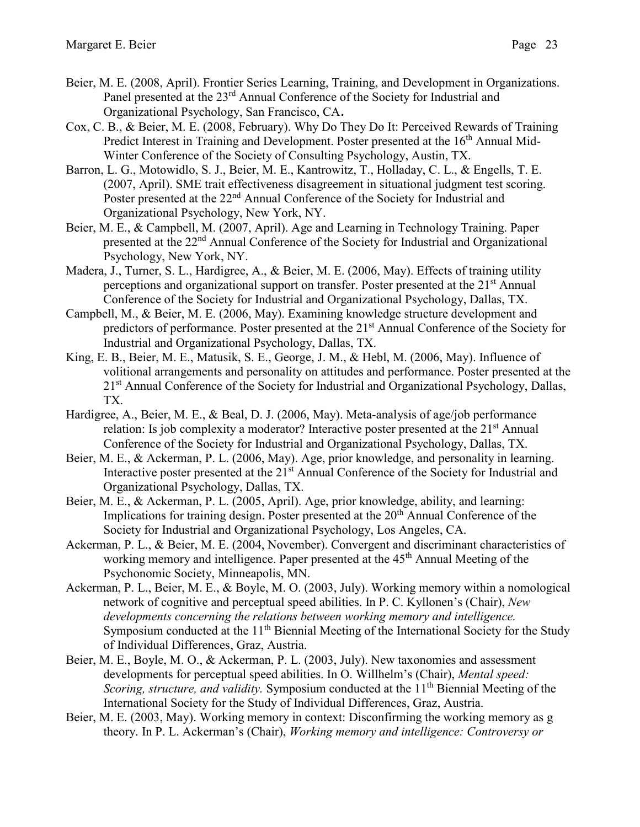- Beier, M. E. (2008, April). Frontier Series Learning, Training, and Development in Organizations. Panel presented at the 23<sup>rd</sup> Annual Conference of the Society for Industrial and Organizational Psychology, San Francisco, CA.
- Cox, C. B., & Beier, M. E. (2008, February). Why Do They Do It: Perceived Rewards of Training Predict Interest in Training and Development. Poster presented at the 16<sup>th</sup> Annual Mid-Winter Conference of the Society of Consulting Psychology, Austin, TX.
- Barron, L. G., Motowidlo, S. J., Beier, M. E., Kantrowitz, T., Holladay, C. L., & Engells, T. E. (2007, April). SME trait effectiveness disagreement in situational judgment test scoring. Poster presented at the 22<sup>nd</sup> Annual Conference of the Society for Industrial and Organizational Psychology, New York, NY.
- Beier, M. E., & Campbell, M. (2007, April). Age and Learning in Technology Training. Paper presented at the 22nd Annual Conference of the Society for Industrial and Organizational Psychology, New York, NY.
- Madera, J., Turner, S. L., Hardigree, A., & Beier, M. E. (2006, May). Effects of training utility perceptions and organizational support on transfer. Poster presented at the 21<sup>st</sup> Annual Conference of the Society for Industrial and Organizational Psychology, Dallas, TX.
- Campbell, M., & Beier, M. E. (2006, May). Examining knowledge structure development and predictors of performance. Poster presented at the 21<sup>st</sup> Annual Conference of the Society for Industrial and Organizational Psychology, Dallas, TX.
- King, E. B., Beier, M. E., Matusik, S. E., George, J. M., & Hebl, M. (2006, May). Influence of volitional arrangements and personality on attitudes and performance. Poster presented at the 21st Annual Conference of the Society for Industrial and Organizational Psychology, Dallas, TX.
- Hardigree, A., Beier, M. E., & Beal, D. J. (2006, May). Meta-analysis of age/job performance relation: Is job complexity a moderator? Interactive poster presented at the  $21<sup>st</sup>$  Annual Conference of the Society for Industrial and Organizational Psychology, Dallas, TX.
- Beier, M. E., & Ackerman, P. L. (2006, May). Age, prior knowledge, and personality in learning. Interactive poster presented at the 21<sup>st</sup> Annual Conference of the Society for Industrial and Organizational Psychology, Dallas, TX.
- Beier, M. E., & Ackerman, P. L. (2005, April). Age, prior knowledge, ability, and learning: Implications for training design. Poster presented at the 20<sup>th</sup> Annual Conference of the Society for Industrial and Organizational Psychology, Los Angeles, CA.
- Ackerman, P. L., & Beier, M. E. (2004, November). Convergent and discriminant characteristics of working memory and intelligence. Paper presented at the 45<sup>th</sup> Annual Meeting of the Psychonomic Society, Minneapolis, MN.
- Ackerman, P. L., Beier, M. E., & Boyle, M. O. (2003, July). Working memory within a nomological network of cognitive and perceptual speed abilities. In P. C. Kyllonen's (Chair), *New developments concerning the relations between working memory and intelligence.* Symposium conducted at the 11<sup>th</sup> Biennial Meeting of the International Society for the Study of Individual Differences, Graz, Austria.
- Beier, M. E., Boyle, M. O., & Ackerman, P. L. (2003, July). New taxonomies and assessment developments for perceptual speed abilities. In O. Willhelm's (Chair), *Mental speed: Scoring, structure, and validity.* Symposium conducted at the 11<sup>th</sup> Biennial Meeting of the International Society for the Study of Individual Differences, Graz, Austria.
- Beier, M. E. (2003, May). Working memory in context: Disconfirming the working memory as g theory. In P. L. Ackerman's (Chair), *Working memory and intelligence: Controversy or*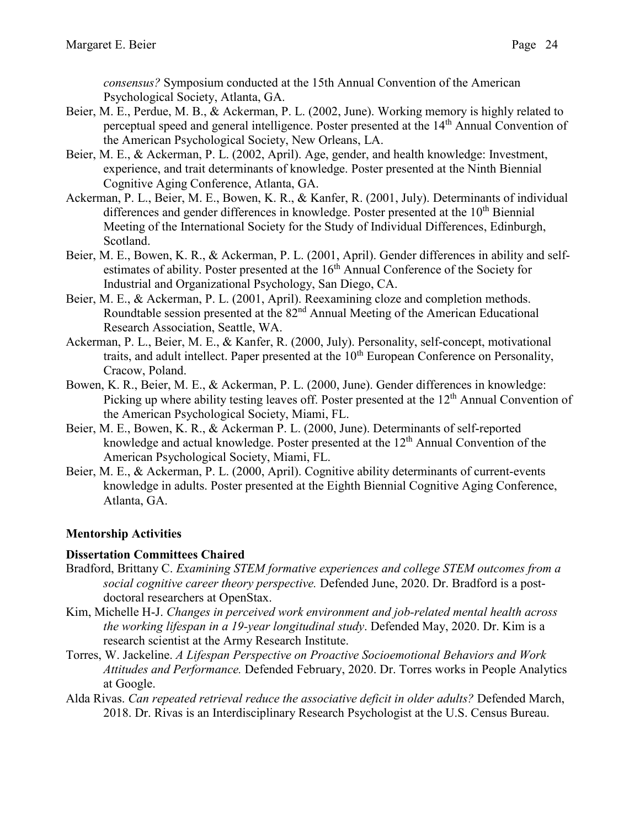*consensus?* Symposium conducted at the 15th Annual Convention of the American Psychological Society, Atlanta, GA.

- Beier, M. E., Perdue, M. B., & Ackerman, P. L. (2002, June). Working memory is highly related to perceptual speed and general intelligence. Poster presented at the 14th Annual Convention of the American Psychological Society, New Orleans, LA.
- Beier, M. E., & Ackerman, P. L. (2002, April). Age, gender, and health knowledge: Investment, experience, and trait determinants of knowledge. Poster presented at the Ninth Biennial Cognitive Aging Conference, Atlanta, GA.
- Ackerman, P. L., Beier, M. E., Bowen, K. R., & Kanfer, R. (2001, July). Determinants of individual differences and gender differences in knowledge. Poster presented at the  $10<sup>th</sup>$  Biennial Meeting of the International Society for the Study of Individual Differences, Edinburgh, Scotland.
- Beier, M. E., Bowen, K. R., & Ackerman, P. L. (2001, April). Gender differences in ability and selfestimates of ability. Poster presented at the 16<sup>th</sup> Annual Conference of the Society for Industrial and Organizational Psychology, San Diego, CA.
- Beier, M. E., & Ackerman, P. L. (2001, April). Reexamining cloze and completion methods. Roundtable session presented at the 82<sup>nd</sup> Annual Meeting of the American Educational Research Association, Seattle, WA.
- Ackerman, P. L., Beier, M. E., & Kanfer, R. (2000, July). Personality, self-concept, motivational traits, and adult intellect. Paper presented at the  $10<sup>th</sup>$  European Conference on Personality, Cracow, Poland.
- Bowen, K. R., Beier, M. E., & Ackerman, P. L. (2000, June). Gender differences in knowledge: Picking up where ability testing leaves off. Poster presented at the 12<sup>th</sup> Annual Convention of the American Psychological Society, Miami, FL.
- Beier, M. E., Bowen, K. R., & Ackerman P. L. (2000, June). Determinants of self-reported knowledge and actual knowledge. Poster presented at the 12<sup>th</sup> Annual Convention of the American Psychological Society, Miami, FL.
- Beier, M. E., & Ackerman, P. L. (2000, April). Cognitive ability determinants of current-events knowledge in adults. Poster presented at the Eighth Biennial Cognitive Aging Conference, Atlanta, GA.

# **Mentorship Activities**

### **Dissertation Committees Chaired**

- Bradford, Brittany C. *Examining STEM formative experiences and college STEM outcomes from a social cognitive career theory perspective.* Defended June, 2020. Dr. Bradford is a postdoctoral researchers at OpenStax.
- Kim, Michelle H-J. *Changes in perceived work environment and job-related mental health across the working lifespan in a 19-year longitudinal study*. Defended May, 2020. Dr. Kim is a research scientist at the Army Research Institute.
- Torres, W. Jackeline. *A Lifespan Perspective on Proactive Socioemotional Behaviors and Work Attitudes and Performance.* Defended February, 2020. Dr. Torres works in People Analytics at Google.
- Alda Rivas. *Can repeated retrieval reduce the associative deficit in older adults?* Defended March, 2018. Dr. Rivas is an Interdisciplinary Research Psychologist at the U.S. Census Bureau.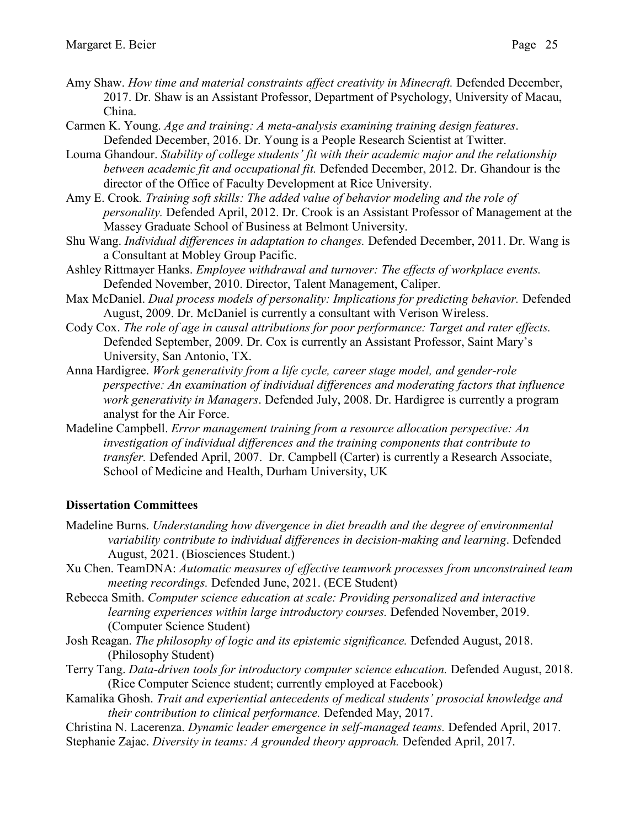- 
- Amy Shaw. *How time and material constraints affect creativity in Minecraft.* Defended December, 2017. Dr. Shaw is an Assistant Professor, Department of Psychology, University of Macau, China.
- Carmen K. Young. *Age and training: A meta-analysis examining training design features*. Defended December, 2016. Dr. Young is a People Research Scientist at Twitter.
- Louma Ghandour. *Stability of college students' fit with their academic major and the relationship between academic fit and occupational fit.* Defended December, 2012. Dr. Ghandour is the director of the Office of Faculty Development at Rice University.
- Amy E. Crook*. Training soft skills: The added value of behavior modeling and the role of personality.* Defended April, 2012. Dr. Crook is an Assistant Professor of Management at the Massey Graduate School of Business at Belmont University.
- Shu Wang. *Individual differences in adaptation to changes.* Defended December, 2011. Dr. Wang is a Consultant at Mobley Group Pacific.
- Ashley Rittmayer Hanks. *Employee withdrawal and turnover: The effects of workplace events.* Defended November, 2010. Director, Talent Management, Caliper.
- Max McDaniel. *Dual process models of personality: Implications for predicting behavior.* Defended August, 2009. Dr. McDaniel is currently a consultant with Verison Wireless.
- Cody Cox. The role of age in causal attributions for poor performance: Target and rater effects. Defended September, 2009. Dr. Cox is currently an Assistant Professor, Saint Mary's University, San Antonio, TX.
- Anna Hardigree. *Work generativity from a life cycle, career stage model, and gender-role perspective: An examination of individual differences and moderating factors that influence work generativity in Managers*. Defended July, 2008. Dr. Hardigree is currently a program analyst for the Air Force.
- Madeline Campbell. *Error management training from a resource allocation perspective: An investigation of individual differences and the training components that contribute to transfer.* Defended April, 2007. Dr. Campbell (Carter) is currently a Research Associate, School of Medicine and Health, Durham University, UK

# **Dissertation Committees**

- Madeline Burns. *Understanding how divergence in diet breadth and the degree of environmental variability contribute to individual differences in decision-making and learning*. Defended August, 2021. (Biosciences Student.)
- Xu Chen. TeamDNA: *Automatic measures of effective teamwork processes from unconstrained team meeting recordings.* Defended June, 2021. (ECE Student)
- Rebecca Smith. *Computer science education at scale: Providing personalized and interactive learning experiences within large introductory courses.* Defended November, 2019. (Computer Science Student)
- Josh Reagan. *The philosophy of logic and its epistemic significance.* Defended August, 2018. (Philosophy Student)
- Terry Tang. *Data-driven tools for introductory computer science education.* Defended August, 2018. (Rice Computer Science student; currently employed at Facebook)
- Kamalika Ghosh. *Trait and experiential antecedents of medical students' prosocial knowledge and their contribution to clinical performance.* Defended May, 2017.
- Christina N. Lacerenza. *Dynamic leader emergence in self-managed teams.* Defended April, 2017. Stephanie Zajac. *Diversity in teams: A grounded theory approach.* Defended April, 2017.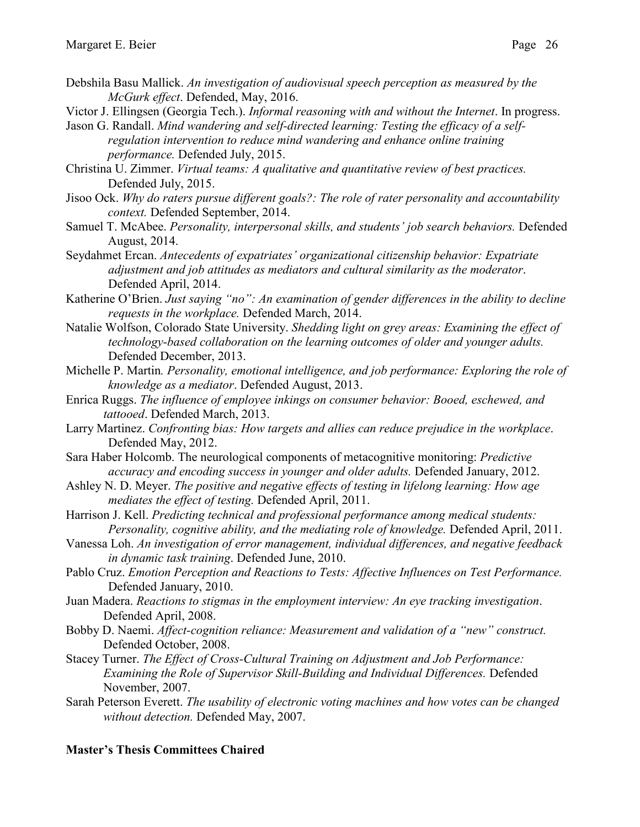- Debshila Basu Mallick. *An investigation of audiovisual speech perception as measured by the McGurk effect*. Defended, May, 2016.
- Victor J. Ellingsen (Georgia Tech.). *Informal reasoning with and without the Internet*. In progress.
- Jason G. Randall. *Mind wandering and self-directed learning: Testing the efficacy of a selfregulation intervention to reduce mind wandering and enhance online training performance.* Defended July, 2015.
- Christina U. Zimmer. *Virtual teams: A qualitative and quantitative review of best practices.* Defended July, 2015.
- Jisoo Ock. *Why do raters pursue different goals?: The role of rater personality and accountability context.* Defended September, 2014.
- Samuel T. McAbee. *Personality, interpersonal skills, and students' job search behaviors.* Defended August, 2014.
- Seydahmet Ercan. *Antecedents of expatriates' organizational citizenship behavior: Expatriate adjustment and job attitudes as mediators and cultural similarity as the moderator*. Defended April, 2014.
- Katherine O'Brien. *Just saying "no": An examination of gender differences in the ability to decline requests in the workplace.* Defended March, 2014.
- Natalie Wolfson, Colorado State University. *Shedding light on grey areas: Examining the effect of technology-based collaboration on the learning outcomes of older and younger adults.* Defended December, 2013.
- Michelle P. Martin*. Personality, emotional intelligence, and job performance: Exploring the role of knowledge as a mediator*. Defended August, 2013.
- Enrica Ruggs. *The influence of employee inkings on consumer behavior: Booed, eschewed, and tattooed*. Defended March, 2013.
- Larry Martinez. *Confronting bias: How targets and allies can reduce prejudice in the workplace*. Defended May, 2012.
- Sara Haber Holcomb. The neurological components of metacognitive monitoring: *Predictive accuracy and encoding success in younger and older adults.* Defended January, 2012.
- Ashley N. D. Meyer. *The positive and negative effects of testing in lifelong learning: How age mediates the effect of testing.* Defended April, 2011.
- Harrison J. Kell. *Predicting technical and professional performance among medical students: Personality, cognitive ability, and the mediating role of knowledge.* Defended April, 2011.
- Vanessa Loh. *An investigation of error management, individual differences, and negative feedback in dynamic task training*. Defended June, 2010.
- Pablo Cruz. *Emotion Perception and Reactions to Tests: Affective Influences on Test Performance.* Defended January, 2010.
- Juan Madera. *Reactions to stigmas in the employment interview: An eye tracking investigation*. Defended April, 2008.
- Bobby D. Naemi. *Affect-cognition reliance: Measurement and validation of a "new" construct.* Defended October, 2008.
- Stacey Turner. *The Effect of Cross-Cultural Training on Adjustment and Job Performance: Examining the Role of Supervisor Skill-Building and Individual Differences.* Defended November, 2007.
- Sarah Peterson Everett. *The usability of electronic voting machines and how votes can be changed without detection.* Defended May, 2007.

# **Master's Thesis Committees Chaired**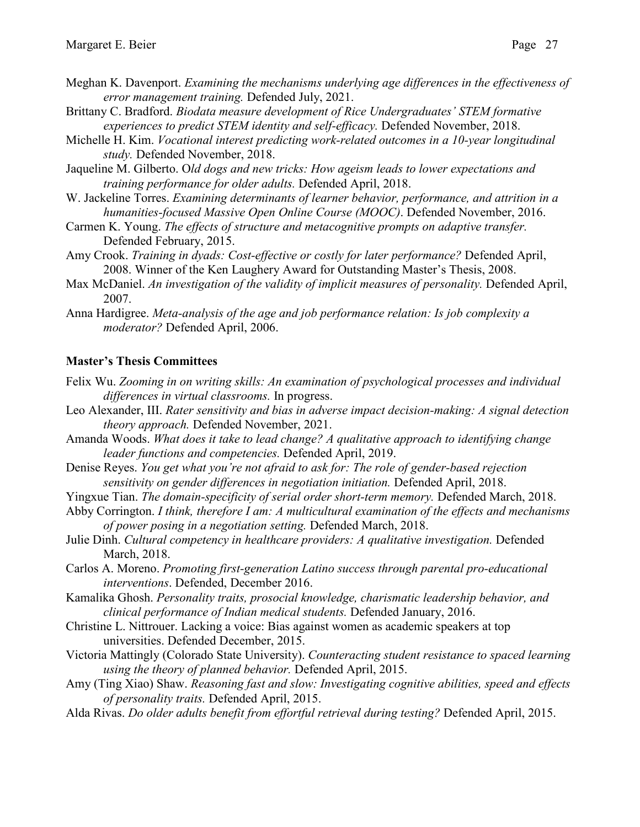- Meghan K. Davenport. *Examining the mechanisms underlying age differences in the effectiveness of error management training.* Defended July, 2021.
- Brittany C. Bradford. *Biodata measure development of Rice Undergraduates' STEM formative experiences to predict STEM identity and self-efficacy.* Defended November, 2018.
- Michelle H. Kim. *Vocational interest predicting work-related outcomes in a 10-year longitudinal study.* Defended November, 2018.
- Jaqueline M. Gilberto. O*ld dogs and new tricks: How ageism leads to lower expectations and training performance for older adults.* Defended April, 2018.
- W. Jackeline Torres. *Examining determinants of learner behavior, performance, and attrition in a humanities-focused Massive Open Online Course (MOOC)*. Defended November, 2016.
- Carmen K. Young. *The effects of structure and metacognitive prompts on adaptive transfer.*  Defended February, 2015.
- Amy Crook. *Training in dyads: Cost-effective or costly for later performance?* Defended April, 2008. Winner of the Ken Laughery Award for Outstanding Master's Thesis, 2008.
- Max McDaniel. *An investigation of the validity of implicit measures of personality*. Defended April, 2007.
- Anna Hardigree. *Meta-analysis of the age and job performance relation: Is job complexity a moderator?* Defended April, 2006.

#### **Master's Thesis Committees**

- Felix Wu. *Zooming in on writing skills: An examination of psychological processes and individual differences in virtual classrooms.* In progress.
- Leo Alexander, III. *Rater sensitivity and bias in adverse impact decision-making: A signal detection theory approach.* Defended November, 2021.
- Amanda Woods. *What does it take to lead change? A qualitative approach to identifying change leader functions and competencies.* Defended April, 2019.
- Denise Reyes. *You get what you're not afraid to ask for: The role of gender-based rejection sensitivity on gender differences in negotiation initiation.* Defended April, 2018.
- Yingxue Tian. *The domain-specificity of serial order short-term memory.* Defended March, 2018.
- Abby Corrington. *I think, therefore I am: A multicultural examination of the effects and mechanisms of power posing in a negotiation setting.* Defended March, 2018.
- Julie Dinh. *Cultural competency in healthcare providers: A qualitative investigation.* Defended March, 2018.
- Carlos A. Moreno. *Promoting first-generation Latino success through parental pro-educational interventions*. Defended, December 2016.
- Kamalika Ghosh. *Personality traits, prosocial knowledge, charismatic leadership behavior, and clinical performance of Indian medical students.* Defended January, 2016.
- Christine L. Nittrouer. Lacking a voice: Bias against women as academic speakers at top universities. Defended December, 2015.
- Victoria Mattingly (Colorado State University). *Counteracting student resistance to spaced learning using the theory of planned behavior.* Defended April, 2015.
- Amy (Ting Xiao) Shaw. *Reasoning fast and slow: Investigating cognitive abilities, speed and effects of personality traits.* Defended April, 2015.
- Alda Rivas. *Do older adults benefit from effortful retrieval during testing?* Defended April, 2015.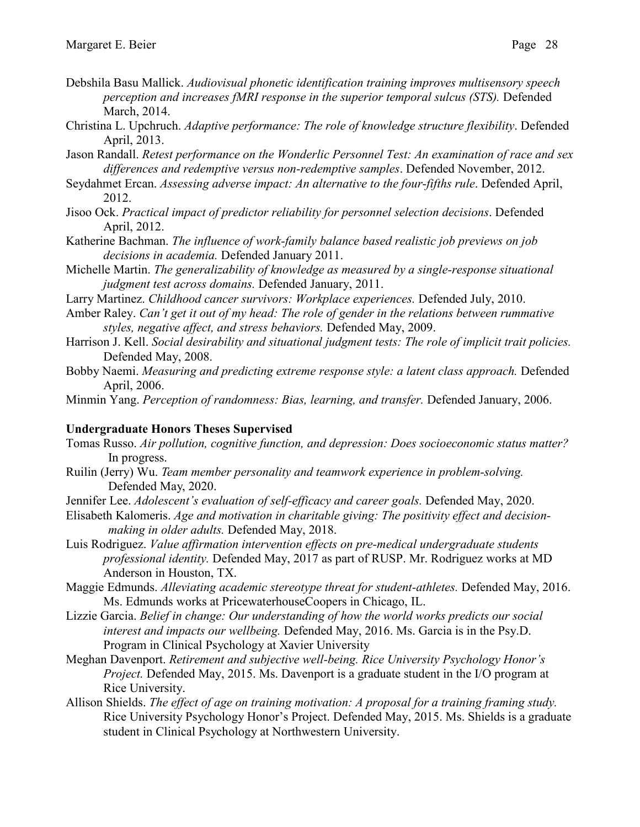- Debshila Basu Mallick. *Audiovisual phonetic identification training improves multisensory speech perception and increases fMRI response in the superior temporal sulcus (STS).* Defended March, 2014.
- Christina L. Upchruch. *Adaptive performance: The role of knowledge structure flexibility*. Defended April, 2013.
- Jason Randall. *Retest performance on the Wonderlic Personnel Test: An examination of race and sex differences and redemptive versus non-redemptive samples*. Defended November, 2012.
- Seydahmet Ercan. *Assessing adverse impact: An alternative to the four-fifths rule*. Defended April, 2012.
- Jisoo Ock. *Practical impact of predictor reliability for personnel selection decisions*. Defended April, 2012.
- Katherine Bachman. *The influence of work-family balance based realistic job previews on job decisions in academia.* Defended January 2011.
- Michelle Martin. *The generalizability of knowledge as measured by a single-response situational judgment test across domains.* Defended January, 2011.
- Larry Martinez. *Childhood cancer survivors: Workplace experiences.* Defended July, 2010.
- Amber Raley. *Can't get it out of my head: The role of gender in the relations between rummative styles, negative affect, and stress behaviors.* Defended May, 2009.
- Harrison J. Kell. *Social desirability and situational judgment tests: The role of implicit trait policies.* Defended May, 2008.
- Bobby Naemi. *Measuring and predicting extreme response style: a latent class approach.* Defended April, 2006.
- Minmin Yang. *Perception of randomness: Bias, learning, and transfer.* Defended January, 2006.

### **Undergraduate Honors Theses Supervised**

- Tomas Russo. *Air pollution, cognitive function, and depression: Does socioeconomic status matter?* In progress.
- Ruilin (Jerry) Wu. *Team member personality and teamwork experience in problem-solving.* Defended May, 2020.
- Jennifer Lee. *Adolescent's evaluation of self-efficacy and career goals.* Defended May, 2020.
- Elisabeth Kalomeris. *Age and motivation in charitable giving: The positivity effect and decisionmaking in older adults.* Defended May, 2018.
- Luis Rodriguez. *Value affirmation intervention effects on pre-medical undergraduate students professional identity.* Defended May, 2017 as part of RUSP. Mr. Rodriguez works at MD Anderson in Houston, TX.
- Maggie Edmunds. *Alleviating academic stereotype threat for student-athletes.* Defended May, 2016. Ms. Edmunds works at PricewaterhouseCoopers in Chicago, IL.
- Lizzie Garcia. *Belief in change: Our understanding of how the world works predicts our social interest and impacts our wellbeing.* Defended May, 2016. Ms. Garcia is in the Psy.D. Program in Clinical Psychology at Xavier University
- Meghan Davenport. *Retirement and subjective well-being. Rice University Psychology Honor's Project.* Defended May, 2015. Ms. Davenport is a graduate student in the I/O program at Rice University.
- Allison Shields. *The effect of age on training motivation: A proposal for a training framing study.* Rice University Psychology Honor's Project. Defended May, 2015. Ms. Shields is a graduate student in Clinical Psychology at Northwestern University.